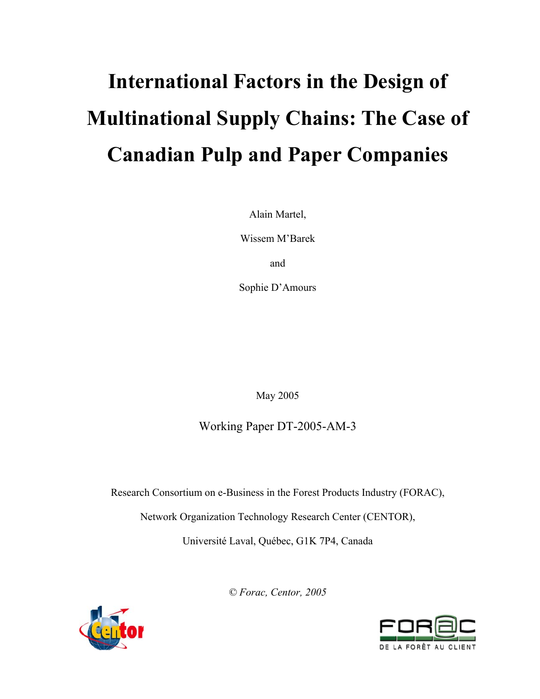# **International Factors in the Design of Multinational Supply Chains: The Case of Canadian Pulp and Paper Companies**

Alain Martel,

Wissem M'Barek

and

Sophie D'Amours

May 2005

Working Paper DT-2005-AM-3

Research Consortium on e-Business in the Forest Products Industry (FORAC),

Network Organization Technology Research Center (CENTOR),

Université Laval, Québec, G1K 7P4, Canada

*© Forac, Centor, 2005*



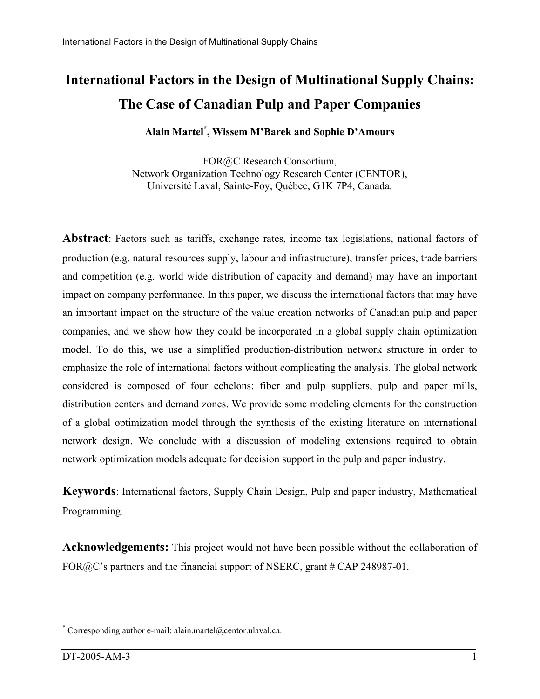# **International Factors in the Design of Multinational Supply Chains: The Case of Canadian Pulp and Paper Companies**

**Alain Martel\* , Wissem M'Barek and Sophie D'Amours** 

FOR@C Research Consortium, Network Organization Technology Research Center (CENTOR), Université Laval, Sainte-Foy, Québec, G1K 7P4, Canada.

**Abstract**: Factors such as tariffs, exchange rates, income tax legislations, national factors of production (e.g. natural resources supply, labour and infrastructure), transfer prices, trade barriers and competition (e.g. world wide distribution of capacity and demand) may have an important impact on company performance. In this paper, we discuss the international factors that may have an important impact on the structure of the value creation networks of Canadian pulp and paper companies, and we show how they could be incorporated in a global supply chain optimization model. To do this, we use a simplified production-distribution network structure in order to emphasize the role of international factors without complicating the analysis. The global network considered is composed of four echelons: fiber and pulp suppliers, pulp and paper mills, distribution centers and demand zones. We provide some modeling elements for the construction of a global optimization model through the synthesis of the existing literature on international network design. We conclude with a discussion of modeling extensions required to obtain network optimization models adequate for decision support in the pulp and paper industry.

**Keywords**: International factors, Supply Chain Design, Pulp and paper industry, Mathematical Programming.

**Acknowledgements:** This project would not have been possible without the collaboration of FOR@C's partners and the financial support of NSERC, grant # CAP 248987-01.

1

<sup>\*</sup> Corresponding author e-mail: alain.martel@centor.ulaval.ca.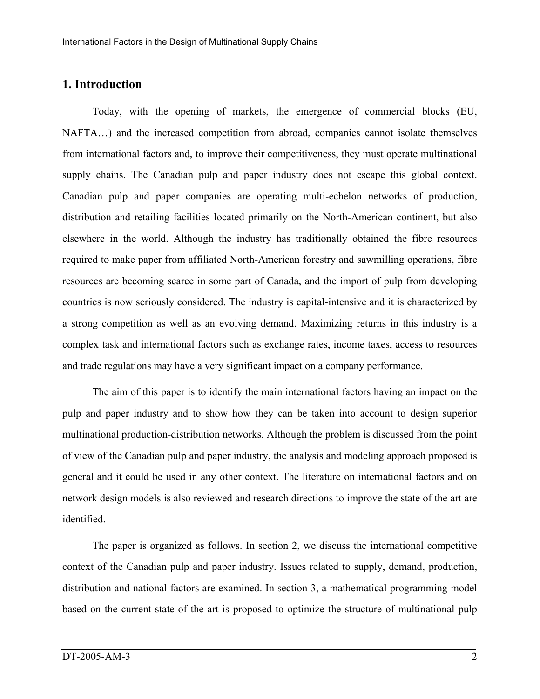# **1. Introduction**

Today, with the opening of markets, the emergence of commercial blocks (EU, NAFTA…) and the increased competition from abroad, companies cannot isolate themselves from international factors and, to improve their competitiveness, they must operate multinational supply chains. The Canadian pulp and paper industry does not escape this global context. Canadian pulp and paper companies are operating multi-echelon networks of production, distribution and retailing facilities located primarily on the North-American continent, but also elsewhere in the world. Although the industry has traditionally obtained the fibre resources required to make paper from affiliated North-American forestry and sawmilling operations, fibre resources are becoming scarce in some part of Canada, and the import of pulp from developing countries is now seriously considered. The industry is capital-intensive and it is characterized by a strong competition as well as an evolving demand. Maximizing returns in this industry is a complex task and international factors such as exchange rates, income taxes, access to resources and trade regulations may have a very significant impact on a company performance.

The aim of this paper is to identify the main international factors having an impact on the pulp and paper industry and to show how they can be taken into account to design superior multinational production-distribution networks. Although the problem is discussed from the point of view of the Canadian pulp and paper industry, the analysis and modeling approach proposed is general and it could be used in any other context. The literature on international factors and on network design models is also reviewed and research directions to improve the state of the art are identified.

The paper is organized as follows. In section 2, we discuss the international competitive context of the Canadian pulp and paper industry. Issues related to supply, demand, production, distribution and national factors are examined. In section 3, a mathematical programming model based on the current state of the art is proposed to optimize the structure of multinational pulp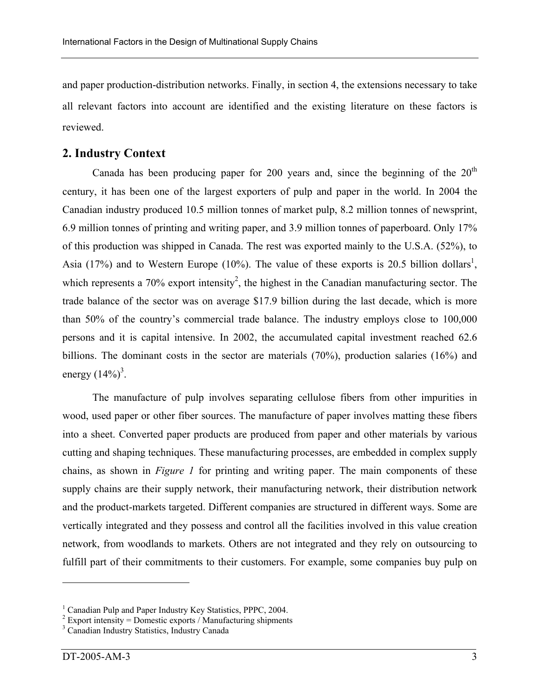and paper production-distribution networks. Finally, in section 4, the extensions necessary to take all relevant factors into account are identified and the existing literature on these factors is reviewed.

#### **2. Industry Context**

Canada has been producing paper for 200 years and, since the beginning of the  $20<sup>th</sup>$ century, it has been one of the largest exporters of pulp and paper in the world. In 2004 the Canadian industry produced 10.5 million tonnes of market pulp, 8.2 million tonnes of newsprint, 6.9 million tonnes of printing and writing paper, and 3.9 million tonnes of paperboard. Only 17% of this production was shipped in Canada. The rest was exported mainly to the U.S.A. (52%), to Asia (17%) and to Western Europe (10%). The value of these exports is 20.5 billion dollars<sup>1</sup>, which represents a 70% export intensity<sup>2</sup>, the highest in the Canadian manufacturing sector. The trade balance of the sector was on average \$17.9 billion during the last decade, which is more than 50% of the country's commercial trade balance. The industry employs close to 100,000 persons and it is capital intensive. In 2002, the accumulated capital investment reached 62.6 billions. The dominant costs in the sector are materials (70%), production salaries (16%) and energy  $(14\%)^3$ .

The manufacture of pulp involves separating cellulose fibers from other impurities in wood, used paper or other fiber sources. The manufacture of paper involves matting these fibers into a sheet. Converted paper products are produced from paper and other materials by various cutting and shaping techniques. These manufacturing processes, are embedded in complex supply chains, as shown in *Figure 1* for printing and writing paper. The main components of these supply chains are their supply network, their manufacturing network, their distribution network and the product-markets targeted. Different companies are structured in different ways. Some are vertically integrated and they possess and control all the facilities involved in this value creation network, from woodlands to markets. Others are not integrated and they rely on outsourcing to fulfill part of their commitments to their customers. For example, some companies buy pulp on

<u>.</u>

<sup>&</sup>lt;sup>1</sup> Canadian Pulp and Paper Industry Key Statistics, PPPC, 2004.

 $2$  Export intensity = Domestic exports / Manufacturing shipments

<sup>&</sup>lt;sup>3</sup> Canadian Industry Statistics, Industry Canada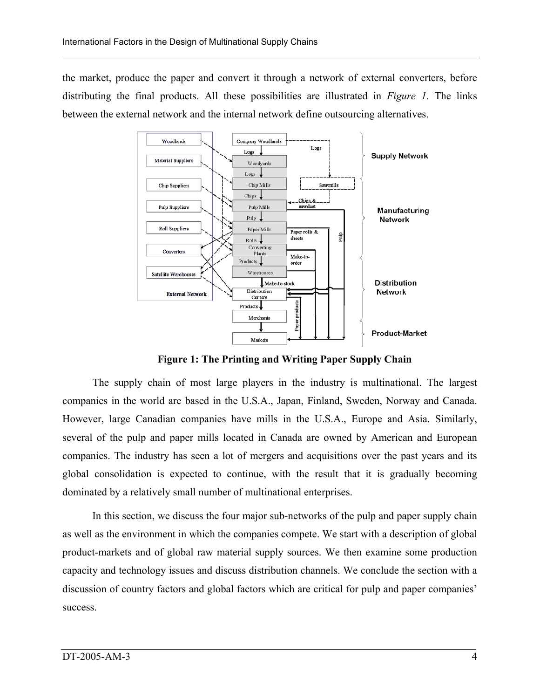the market, produce the paper and convert it through a network of external converters, before distributing the final products. All these possibilities are illustrated in *Figure 1*. The links between the external network and the internal network define outsourcing alternatives.



**Figure 1: The Printing and Writing Paper Supply Chain** 

The supply chain of most large players in the industry is multinational. The largest companies in the world are based in the U.S.A., Japan, Finland, Sweden, Norway and Canada. However, large Canadian companies have mills in the U.S.A., Europe and Asia. Similarly, several of the pulp and paper mills located in Canada are owned by American and European companies. The industry has seen a lot of mergers and acquisitions over the past years and its global consolidation is expected to continue, with the result that it is gradually becoming dominated by a relatively small number of multinational enterprises.

In this section, we discuss the four major sub-networks of the pulp and paper supply chain as well as the environment in which the companies compete. We start with a description of global product-markets and of global raw material supply sources. We then examine some production capacity and technology issues and discuss distribution channels. We conclude the section with a discussion of country factors and global factors which are critical for pulp and paper companies' success.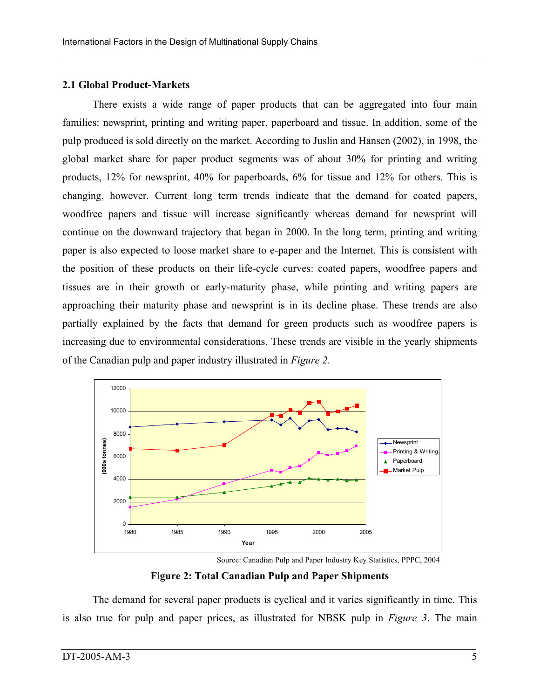## **2.1 Global Product-Markets**

There exists a wide range of paper products that can be aggregated into four main families: newsprint, printing and writing paper, paperboard and tissue. In addition, some of the pulp produced is sold directly on the market. According to Juslin and Hansen (2002), in 1998, the global market share for paper product segments was of about 30% for printing and writing products, 12% for newsprint, 40% for paperboards, 6% for tissue and 12% for others. This is changing, however. Current long term trends indicate that the demand for coated papers, woodfree papers and tissue will increase significantly whereas demand for newsprint will continue on the downward trajectory that began in 2000. In the long term, printing and writing paper is also expected to loose market share to e-paper and the Internet. This is consistent with the position of these products on their life-cycle curves: coated papers, woodfree papers and tissues are in their growth or early-maturity phase, while printing and writing papers are approaching their maturity phase and newsprint is in its decline phase. These trends are also partially explained by the facts that demand for green products such as woodfree papers is increasing due to environmental considerations. These trends are visible in the yearly shipments of the Canadian pulp and paper industry illustrated in *Figure 2*.



Source: Canadian Pulp and Paper Industry Key Statistics, PPPC, 2004

**Figure 2: Total Canadian Pulp and Paper Shipments** 

The demand for several paper products is cyclical and it varies significantly in time. This is also true for pulp and paper prices, as illustrated for NBSK pulp in *Figure 3*. The main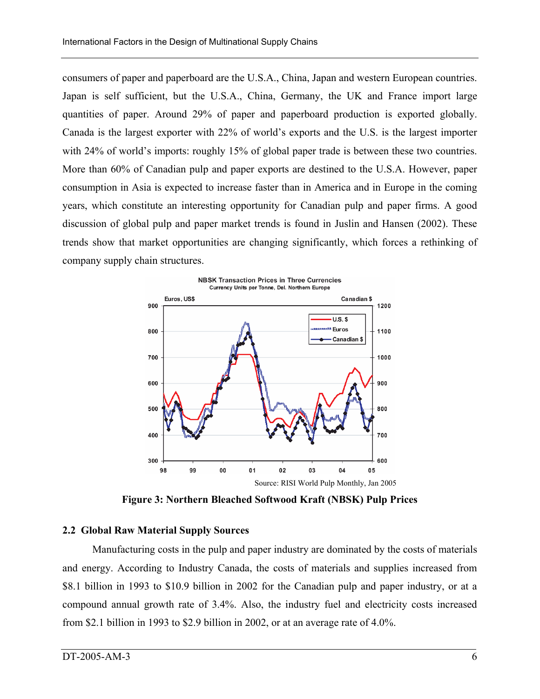consumers of paper and paperboard are the U.S.A., China, Japan and western European countries. Japan is self sufficient, but the U.S.A., China, Germany, the UK and France import large quantities of paper. Around 29% of paper and paperboard production is exported globally. Canada is the largest exporter with 22% of world's exports and the U.S. is the largest importer with 24% of world's imports: roughly 15% of global paper trade is between these two countries. More than 60% of Canadian pulp and paper exports are destined to the U.S.A. However, paper consumption in Asia is expected to increase faster than in America and in Europe in the coming years, which constitute an interesting opportunity for Canadian pulp and paper firms. A good discussion of global pulp and paper market trends is found in Juslin and Hansen (2002). These trends show that market opportunities are changing significantly, which forces a rethinking of company supply chain structures.



**Figure 3: Northern Bleached Softwood Kraft (NBSK) Pulp Prices** 

#### **2.2 Global Raw Material Supply Sources**

Manufacturing costs in the pulp and paper industry are dominated by the costs of materials and energy. According to Industry Canada, the costs of materials and supplies increased from \$8.1 billion in 1993 to \$10.9 billion in 2002 for the Canadian pulp and paper industry, or at a compound annual growth rate of 3.4%. Also, the industry fuel and electricity costs increased from \$2.1 billion in 1993 to \$2.9 billion in 2002, or at an average rate of 4.0%.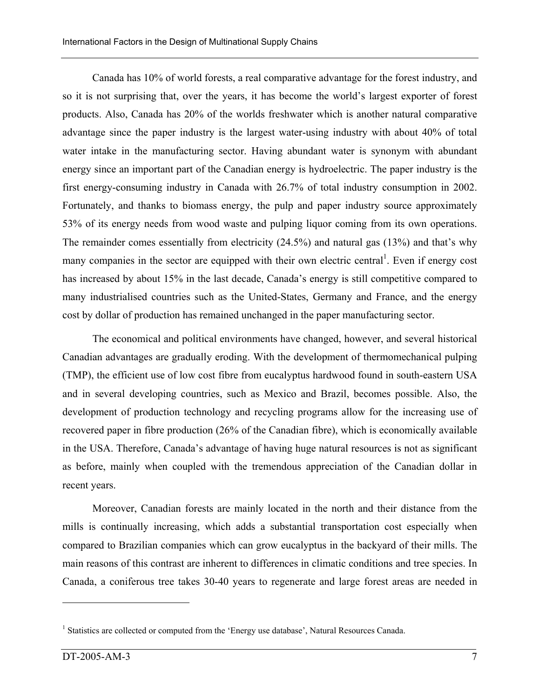Canada has 10% of world forests, a real comparative advantage for the forest industry, and so it is not surprising that, over the years, it has become the world's largest exporter of forest products. Also, Canada has 20% of the worlds freshwater which is another natural comparative advantage since the paper industry is the largest water-using industry with about 40% of total water intake in the manufacturing sector. Having abundant water is synonym with abundant energy since an important part of the Canadian energy is hydroelectric. The paper industry is the first energy-consuming industry in Canada with 26.7% of total industry consumption in 2002. Fortunately, and thanks to biomass energy, the pulp and paper industry source approximately 53% of its energy needs from wood waste and pulping liquor coming from its own operations. The remainder comes essentially from electricity (24.5%) and natural gas (13%) and that's why many companies in the sector are equipped with their own electric central<sup>1</sup>. Even if energy cost has increased by about 15% in the last decade, Canada's energy is still competitive compared to many industrialised countries such as the United-States, Germany and France, and the energy cost by dollar of production has remained unchanged in the paper manufacturing sector.

The economical and political environments have changed, however, and several historical Canadian advantages are gradually eroding. With the development of thermomechanical pulping (TMP), the efficient use of low cost fibre from eucalyptus hardwood found in south-eastern USA and in several developing countries, such as Mexico and Brazil, becomes possible. Also, the development of production technology and recycling programs allow for the increasing use of recovered paper in fibre production (26% of the Canadian fibre), which is economically available in the USA. Therefore, Canada's advantage of having huge natural resources is not as significant as before, mainly when coupled with the tremendous appreciation of the Canadian dollar in recent years.

Moreover, Canadian forests are mainly located in the north and their distance from the mills is continually increasing, which adds a substantial transportation cost especially when compared to Brazilian companies which can grow eucalyptus in the backyard of their mills. The main reasons of this contrast are inherent to differences in climatic conditions and tree species. In Canada, a coniferous tree takes 30-40 years to regenerate and large forest areas are needed in

1

<sup>&</sup>lt;sup>1</sup> Statistics are collected or computed from the 'Energy use database', Natural Resources Canada.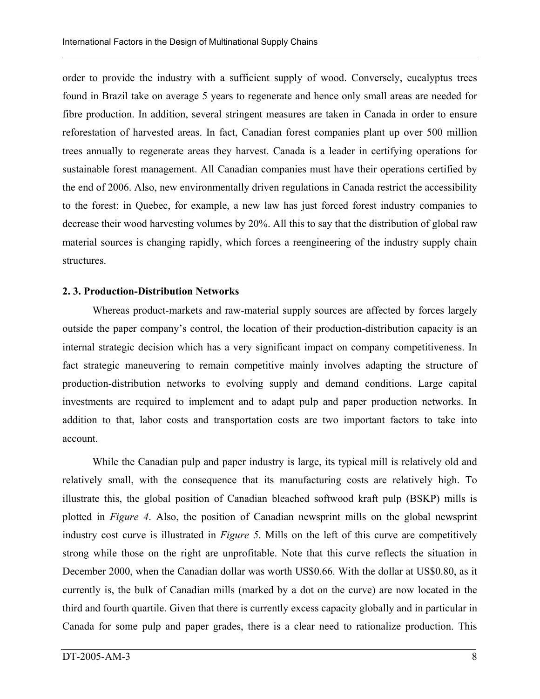order to provide the industry with a sufficient supply of wood. Conversely, eucalyptus trees found in Brazil take on average 5 years to regenerate and hence only small areas are needed for fibre production. In addition, several stringent measures are taken in Canada in order to ensure reforestation of harvested areas. In fact, Canadian forest companies plant up over 500 million trees annually to regenerate areas they harvest. Canada is a leader in certifying operations for sustainable forest management. All Canadian companies must have their operations certified by the end of 2006. Also, new environmentally driven regulations in Canada restrict the accessibility to the forest: in Quebec, for example, a new law has just forced forest industry companies to decrease their wood harvesting volumes by 20%. All this to say that the distribution of global raw material sources is changing rapidly, which forces a reengineering of the industry supply chain structures.

# **2. 3. Production-Distribution Networks**

Whereas product-markets and raw-material supply sources are affected by forces largely outside the paper company's control, the location of their production-distribution capacity is an internal strategic decision which has a very significant impact on company competitiveness. In fact strategic maneuvering to remain competitive mainly involves adapting the structure of production-distribution networks to evolving supply and demand conditions. Large capital investments are required to implement and to adapt pulp and paper production networks. In addition to that, labor costs and transportation costs are two important factors to take into account.

While the Canadian pulp and paper industry is large, its typical mill is relatively old and relatively small, with the consequence that its manufacturing costs are relatively high. To illustrate this, the global position of Canadian bleached softwood kraft pulp (BSKP) mills is plotted in *Figure 4*. Also, the position of Canadian newsprint mills on the global newsprint industry cost curve is illustrated in *Figure 5*. Mills on the left of this curve are competitively strong while those on the right are unprofitable. Note that this curve reflects the situation in December 2000, when the Canadian dollar was worth US\$0.66. With the dollar at US\$0.80, as it currently is, the bulk of Canadian mills (marked by a dot on the curve) are now located in the third and fourth quartile. Given that there is currently excess capacity globally and in particular in Canada for some pulp and paper grades, there is a clear need to rationalize production. This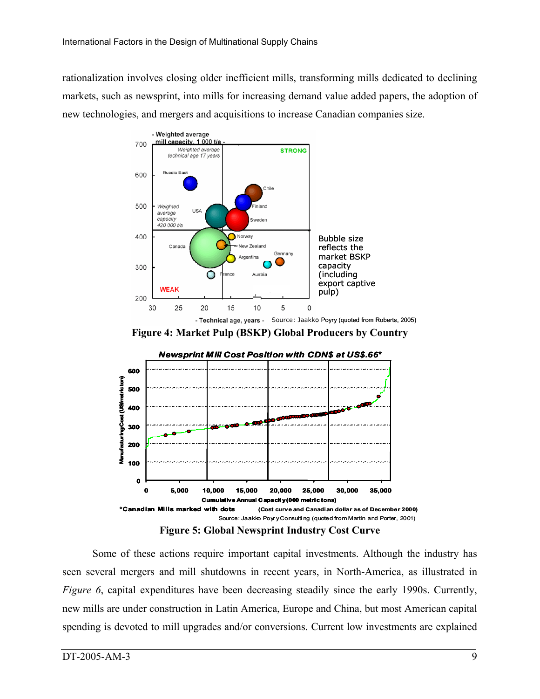rationalization involves closing older inefficient mills, transforming mills dedicated to declining markets, such as newsprint, into mills for increasing demand value added papers, the adoption of new technologies, and mergers and acquisitions to increase Canadian companies size.



**Figure 4: Market Pulp (BSKP) Global Producers by Country** 



Some of these actions require important capital investments. Although the industry has seen several mergers and mill shutdowns in recent years, in North-America, as illustrated in *Figure 6*, capital expenditures have been decreasing steadily since the early 1990s. Currently, new mills are under construction in Latin America, Europe and China, but most American capital spending is devoted to mill upgrades and/or conversions. Current low investments are explained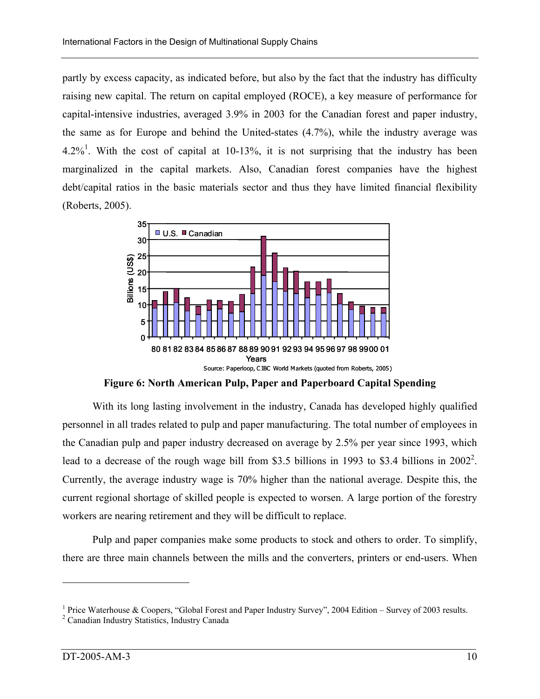partly by excess capacity, as indicated before, but also by the fact that the industry has difficulty raising new capital. The return on capital employed (ROCE), a key measure of performance for capital-intensive industries, averaged 3.9% in 2003 for the Canadian forest and paper industry, the same as for Europe and behind the United-states (4.7%), while the industry average was  $4.2\%$ <sup>1</sup>. With the cost of capital at 10-13%, it is not surprising that the industry has been marginalized in the capital markets. Also, Canadian forest companies have the highest debt/capital ratios in the basic materials sector and thus they have limited financial flexibility (Roberts, 2005).



**Figure 6: North American Pulp, Paper and Paperboard Capital Spending** 

With its long lasting involvement in the industry, Canada has developed highly qualified personnel in all trades related to pulp and paper manufacturing. The total number of employees in the Canadian pulp and paper industry decreased on average by 2.5% per year since 1993, which lead to a decrease of the rough wage bill from \$3.5 billions in 1993 to \$3.4 billions in  $2002^2$ . Currently, the average industry wage is 70% higher than the national average. Despite this, the current regional shortage of skilled people is expected to worsen. A large portion of the forestry workers are nearing retirement and they will be difficult to replace.

Pulp and paper companies make some products to stock and others to order. To simplify, there are three main channels between the mills and the converters, printers or end-users. When

<u>.</u>

<sup>&</sup>lt;sup>1</sup> Price Waterhouse & Coopers, "Global Forest and Paper Industry Survey", 2004 Edition – Survey of 2003 results.

<sup>&</sup>lt;sup>2</sup> Canadian Industry Statistics, Industry Canada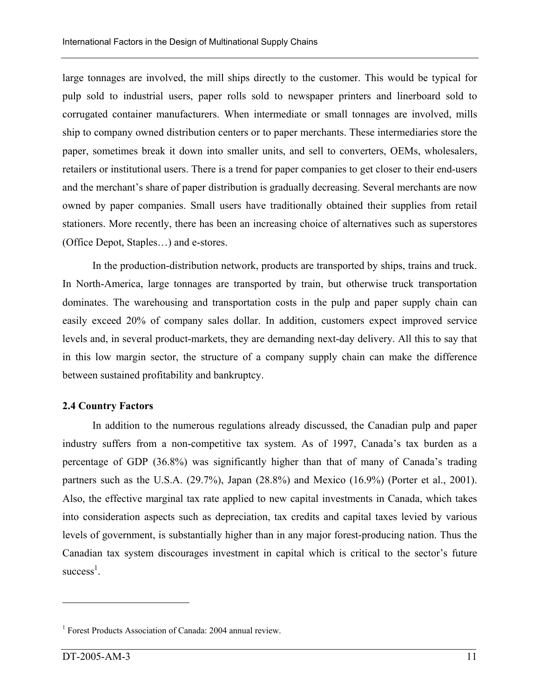large tonnages are involved, the mill ships directly to the customer. This would be typical for pulp sold to industrial users, paper rolls sold to newspaper printers and linerboard sold to corrugated container manufacturers. When intermediate or small tonnages are involved, mills ship to company owned distribution centers or to paper merchants. These intermediaries store the paper, sometimes break it down into smaller units, and sell to converters, OEMs, wholesalers, retailers or institutional users. There is a trend for paper companies to get closer to their end-users and the merchant's share of paper distribution is gradually decreasing. Several merchants are now owned by paper companies. Small users have traditionally obtained their supplies from retail stationers. More recently, there has been an increasing choice of alternatives such as superstores (Office Depot, Staples…) and e-stores.

In the production-distribution network, products are transported by ships, trains and truck. In North-America, large tonnages are transported by train, but otherwise truck transportation dominates. The warehousing and transportation costs in the pulp and paper supply chain can easily exceed 20% of company sales dollar. In addition, customers expect improved service levels and, in several product-markets, they are demanding next-day delivery. All this to say that in this low margin sector, the structure of a company supply chain can make the difference between sustained profitability and bankruptcy.

#### **2.4 Country Factors**

In addition to the numerous regulations already discussed, the Canadian pulp and paper industry suffers from a non-competitive tax system. As of 1997, Canada's tax burden as a percentage of GDP (36.8%) was significantly higher than that of many of Canada's trading partners such as the U.S.A. (29.7%), Japan (28.8%) and Mexico (16.9%) (Porter et al., 2001). Also, the effective marginal tax rate applied to new capital investments in Canada, which takes into consideration aspects such as depreciation, tax credits and capital taxes levied by various levels of government, is substantially higher than in any major forest-producing nation. Thus the Canadian tax system discourages investment in capital which is critical to the sector's future  $success<sup>1</sup>$ .

1

<sup>&</sup>lt;sup>1</sup> Forest Products Association of Canada: 2004 annual review.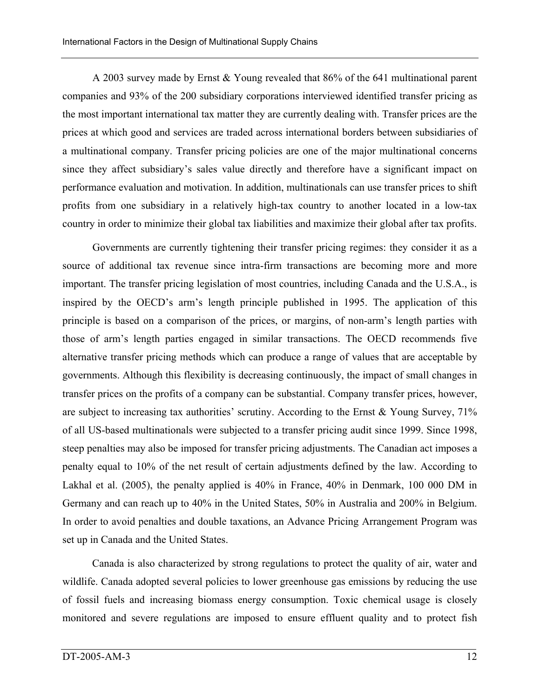A 2003 survey made by Ernst & Young revealed that 86% of the 641 multinational parent companies and 93% of the 200 subsidiary corporations interviewed identified transfer pricing as the most important international tax matter they are currently dealing with. Transfer prices are the prices at which good and services are traded across international borders between subsidiaries of a multinational company. Transfer pricing policies are one of the major multinational concerns since they affect subsidiary's sales value directly and therefore have a significant impact on performance evaluation and motivation. In addition, multinationals can use transfer prices to shift profits from one subsidiary in a relatively high-tax country to another located in a low-tax country in order to minimize their global tax liabilities and maximize their global after tax profits.

Governments are currently tightening their transfer pricing regimes: they consider it as a source of additional tax revenue since intra-firm transactions are becoming more and more important. The transfer pricing legislation of most countries, including Canada and the U.S.A., is inspired by the OECD's arm's length principle published in 1995. The application of this principle is based on a comparison of the prices, or margins, of non-arm's length parties with those of arm's length parties engaged in similar transactions. The OECD recommends five alternative transfer pricing methods which can produce a range of values that are acceptable by governments. Although this flexibility is decreasing continuously, the impact of small changes in transfer prices on the profits of a company can be substantial. Company transfer prices, however, are subject to increasing tax authorities' scrutiny. According to the Ernst & Young Survey, 71% of all US-based multinationals were subjected to a transfer pricing audit since 1999. Since 1998, steep penalties may also be imposed for transfer pricing adjustments. The Canadian act imposes a penalty equal to 10% of the net result of certain adjustments defined by the law. According to Lakhal et al. (2005), the penalty applied is 40% in France, 40% in Denmark, 100 000 DM in Germany and can reach up to 40% in the United States, 50% in Australia and 200% in Belgium. In order to avoid penalties and double taxations, an Advance Pricing Arrangement Program was set up in Canada and the United States.

Canada is also characterized by strong regulations to protect the quality of air, water and wildlife. Canada adopted several policies to lower greenhouse gas emissions by reducing the use of fossil fuels and increasing biomass energy consumption. Toxic chemical usage is closely monitored and severe regulations are imposed to ensure effluent quality and to protect fish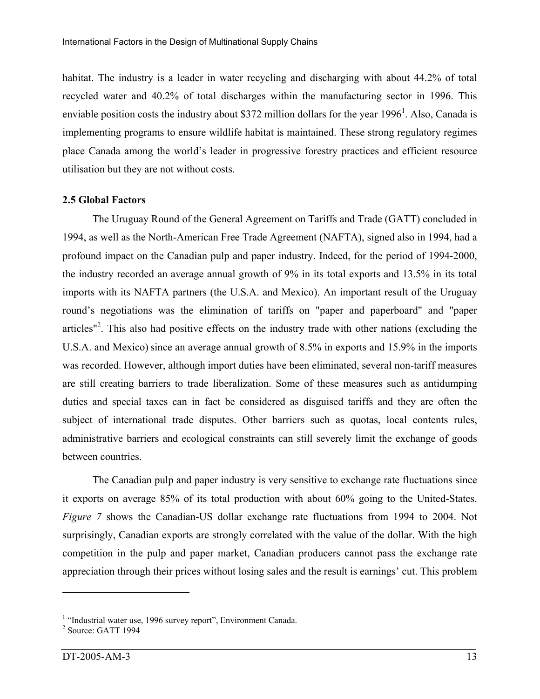habitat. The industry is a leader in water recycling and discharging with about 44.2% of total recycled water and 40.2% of total discharges within the manufacturing sector in 1996. This enviable position costs the industry about \$372 million dollars for the year  $1996<sup>1</sup>$ . Also, Canada is implementing programs to ensure wildlife habitat is maintained. These strong regulatory regimes place Canada among the world's leader in progressive forestry practices and efficient resource utilisation but they are not without costs.

#### **2.5 Global Factors**

The Uruguay Round of the General Agreement on Tariffs and Trade (GATT) concluded in 1994, as well as the North-American Free Trade Agreement (NAFTA), signed also in 1994, had a profound impact on the Canadian pulp and paper industry. Indeed, for the period of 1994-2000, the industry recorded an average annual growth of 9% in its total exports and 13.5% in its total imports with its NAFTA partners (the U.S.A. and Mexico). An important result of the Uruguay round's negotiations was the elimination of tariffs on "paper and paperboard" and "paper articles"<sup>2</sup>. This also had positive effects on the industry trade with other nations (excluding the U.S.A. and Mexico) since an average annual growth of 8.5% in exports and 15.9% in the imports was recorded. However, although import duties have been eliminated, several non-tariff measures are still creating barriers to trade liberalization. Some of these measures such as antidumping duties and special taxes can in fact be considered as disguised tariffs and they are often the subject of international trade disputes. Other barriers such as quotas, local contents rules, administrative barriers and ecological constraints can still severely limit the exchange of goods between countries.

The Canadian pulp and paper industry is very sensitive to exchange rate fluctuations since it exports on average 85% of its total production with about 60% going to the United-States. *Figure 7* shows the Canadian-US dollar exchange rate fluctuations from 1994 to 2004. Not surprisingly, Canadian exports are strongly correlated with the value of the dollar. With the high competition in the pulp and paper market, Canadian producers cannot pass the exchange rate appreciation through their prices without losing sales and the result is earnings' cut. This problem

1

<sup>&</sup>lt;sup>1</sup> "Industrial water use, 1996 survey report", Environment Canada.

<sup>2</sup> Source: GATT 1994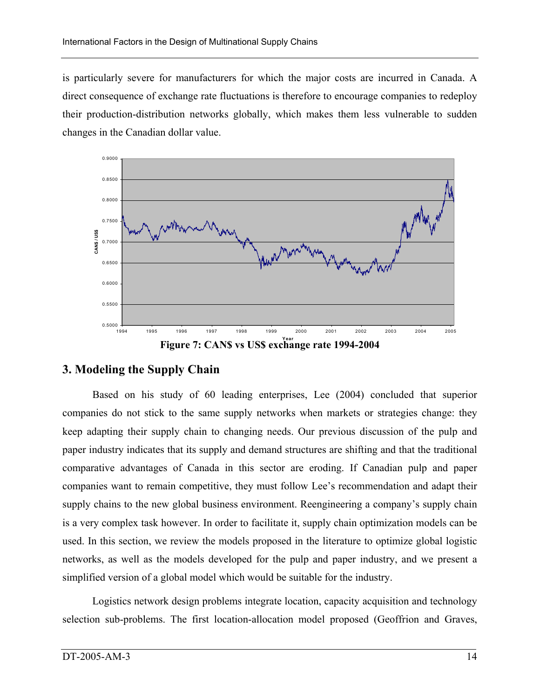is particularly severe for manufacturers for which the major costs are incurred in Canada. A direct consequence of exchange rate fluctuations is therefore to encourage companies to redeploy their production-distribution networks globally, which makes them less vulnerable to sudden changes in the Canadian dollar value.



# **3. Modeling the Supply Chain**

Based on his study of 60 leading enterprises, Lee (2004) concluded that superior companies do not stick to the same supply networks when markets or strategies change: they keep adapting their supply chain to changing needs. Our previous discussion of the pulp and paper industry indicates that its supply and demand structures are shifting and that the traditional comparative advantages of Canada in this sector are eroding. If Canadian pulp and paper companies want to remain competitive, they must follow Lee's recommendation and adapt their supply chains to the new global business environment. Reengineering a company's supply chain is a very complex task however. In order to facilitate it, supply chain optimization models can be used. In this section, we review the models proposed in the literature to optimize global logistic networks, as well as the models developed for the pulp and paper industry, and we present a simplified version of a global model which would be suitable for the industry.

Logistics network design problems integrate location, capacity acquisition and technology selection sub-problems. The first location-allocation model proposed (Geoffrion and Graves,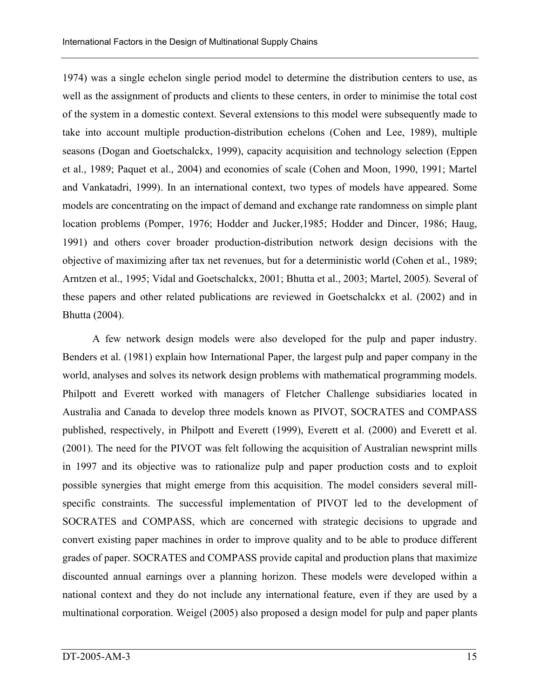1974) was a single echelon single period model to determine the distribution centers to use, as well as the assignment of products and clients to these centers, in order to minimise the total cost of the system in a domestic context. Several extensions to this model were subsequently made to take into account multiple production-distribution echelons (Cohen and Lee, 1989), multiple seasons (Dogan and Goetschalckx, 1999), capacity acquisition and technology selection (Eppen et al., 1989; Paquet et al., 2004) and economies of scale (Cohen and Moon, 1990, 1991; Martel and Vankatadri, 1999). In an international context, two types of models have appeared. Some models are concentrating on the impact of demand and exchange rate randomness on simple plant location problems (Pomper, 1976; Hodder and Jucker,1985; Hodder and Dincer, 1986; Haug, 1991) and others cover broader production-distribution network design decisions with the objective of maximizing after tax net revenues, but for a deterministic world (Cohen et al., 1989; Arntzen et al., 1995; Vidal and Goetschalckx, 2001; Bhutta et al., 2003; Martel, 2005). Several of these papers and other related publications are reviewed in Goetschalckx et al. (2002) and in Bhutta (2004).

A few network design models were also developed for the pulp and paper industry. Benders et al. (1981) explain how International Paper, the largest pulp and paper company in the world, analyses and solves its network design problems with mathematical programming models. Philpott and Everett worked with managers of Fletcher Challenge subsidiaries located in Australia and Canada to develop three models known as PIVOT, SOCRATES and COMPASS published, respectively, in Philpott and Everett (1999), Everett et al. (2000) and Everett et al. (2001). The need for the PIVOT was felt following the acquisition of Australian newsprint mills in 1997 and its objective was to rationalize pulp and paper production costs and to exploit possible synergies that might emerge from this acquisition. The model considers several millspecific constraints. The successful implementation of PIVOT led to the development of SOCRATES and COMPASS, which are concerned with strategic decisions to upgrade and convert existing paper machines in order to improve quality and to be able to produce different grades of paper. SOCRATES and COMPASS provide capital and production plans that maximize discounted annual earnings over a planning horizon. These models were developed within a national context and they do not include any international feature, even if they are used by a multinational corporation. Weigel (2005) also proposed a design model for pulp and paper plants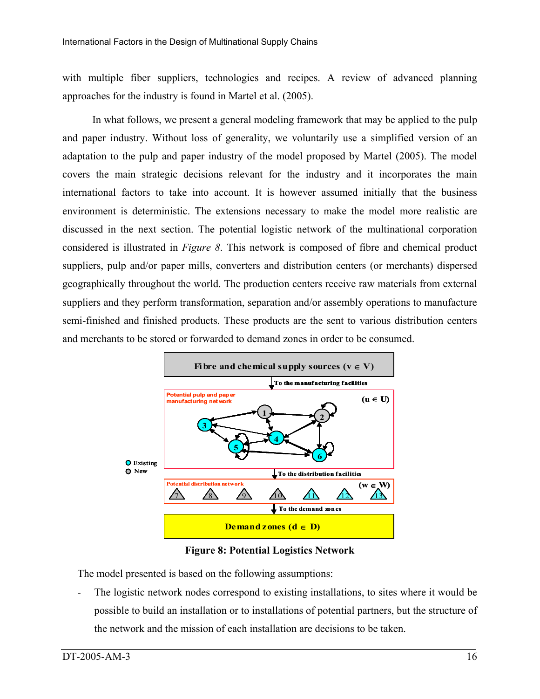with multiple fiber suppliers, technologies and recipes. A review of advanced planning approaches for the industry is found in Martel et al. (2005).

In what follows, we present a general modeling framework that may be applied to the pulp and paper industry. Without loss of generality, we voluntarily use a simplified version of an adaptation to the pulp and paper industry of the model proposed by Martel (2005). The model covers the main strategic decisions relevant for the industry and it incorporates the main international factors to take into account. It is however assumed initially that the business environment is deterministic. The extensions necessary to make the model more realistic are discussed in the next section. The potential logistic network of the multinational corporation considered is illustrated in *Figure 8*. This network is composed of fibre and chemical product suppliers, pulp and/or paper mills, converters and distribution centers (or merchants) dispersed geographically throughout the world. The production centers receive raw materials from external suppliers and they perform transformation, separation and/or assembly operations to manufacture semi-finished and finished products. These products are the sent to various distribution centers and merchants to be stored or forwarded to demand zones in order to be consumed.



**Figure 8: Potential Logistics Network** 

The model presented is based on the following assumptions:

The logistic network nodes correspond to existing installations, to sites where it would be possible to build an installation or to installations of potential partners, but the structure of the network and the mission of each installation are decisions to be taken.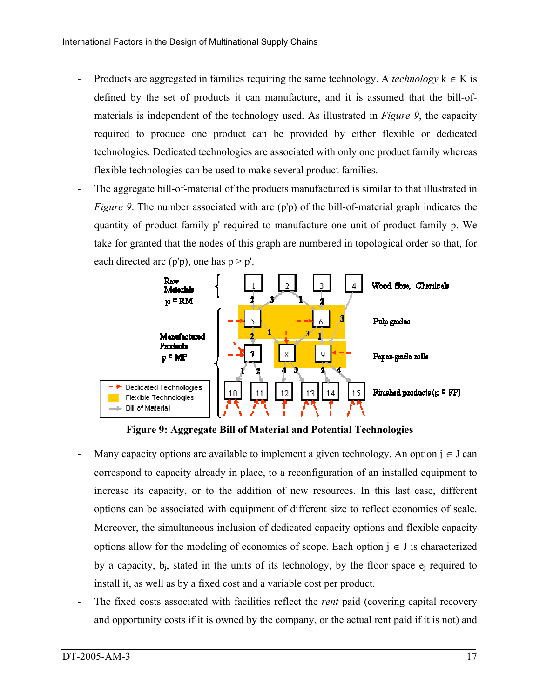- Products are aggregated in families requiring the same technology. A *technology*  $k \in K$  is defined by the set of products it can manufacture, and it is assumed that the bill-ofmaterials is independent of the technology used. As illustrated in *Figure 9*, the capacity required to produce one product can be provided by either flexible or dedicated technologies. Dedicated technologies are associated with only one product family whereas flexible technologies can be used to make several product families.
- The aggregate bill-of-material of the products manufactured is similar to that illustrated in *Figure 9.* The number associated with arc (p'p) of the bill-of-material graph indicates the quantity of product family p' required to manufacture one unit of product family p. We take for granted that the nodes of this graph are numbered in topological order so that, for each directed arc (p'p), one has  $p > p'$ .



**Figure 9: Aggregate Bill of Material and Potential Technologies** 

- Many capacity options are available to implement a given technology. An option  $j \in J$  can correspond to capacity already in place, to a reconfiguration of an installed equipment to increase its capacity, or to the addition of new resources. In this last case, different options can be associated with equipment of different size to reflect economies of scale. Moreover, the simultaneous inclusion of dedicated capacity options and flexible capacity options allow for the modeling of economies of scope. Each option  $j \in J$  is characterized by a capacity,  $b_i$ , stated in the units of its technology, by the floor space  $e_i$  required to install it, as well as by a fixed cost and a variable cost per product.
- The fixed costs associated with facilities reflect the *rent* paid (covering capital recovery and opportunity costs if it is owned by the company, or the actual rent paid if it is not) and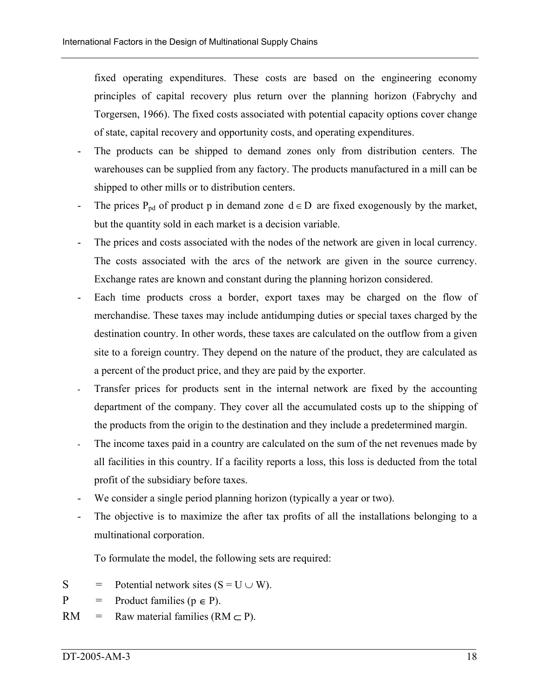fixed operating expenditures. These costs are based on the engineering economy principles of capital recovery plus return over the planning horizon (Fabrychy and Torgersen, 1966). The fixed costs associated with potential capacity options cover change of state, capital recovery and opportunity costs, and operating expenditures.

- The products can be shipped to demand zones only from distribution centers. The warehouses can be supplied from any factory. The products manufactured in a mill can be shipped to other mills or to distribution centers.
- The prices P<sub>pd</sub> of product p in demand zone  $d \in D$  are fixed exogenously by the market, but the quantity sold in each market is a decision variable.
- The prices and costs associated with the nodes of the network are given in local currency. The costs associated with the arcs of the network are given in the source currency. Exchange rates are known and constant during the planning horizon considered.
- Each time products cross a border, export taxes may be charged on the flow of merchandise. These taxes may include antidumping duties or special taxes charged by the destination country. In other words, these taxes are calculated on the outflow from a given site to a foreign country. They depend on the nature of the product, they are calculated as a percent of the product price, and they are paid by the exporter.
- Transfer prices for products sent in the internal network are fixed by the accounting department of the company. They cover all the accumulated costs up to the shipping of the products from the origin to the destination and they include a predetermined margin.
- The income taxes paid in a country are calculated on the sum of the net revenues made by all facilities in this country. If a facility reports a loss, this loss is deducted from the total profit of the subsidiary before taxes.
- We consider a single period planning horizon (typically a year or two).
- The objective is to maximize the after tax profits of all the installations belonging to a multinational corporation.

To formulate the model, the following sets are required:

- $S =$ Potential network sites  $(S = U \cup W)$ .
- $P =$ Product families ( $p \in P$ ).
- $RM =$ Raw material families ( $RM \subset P$ ).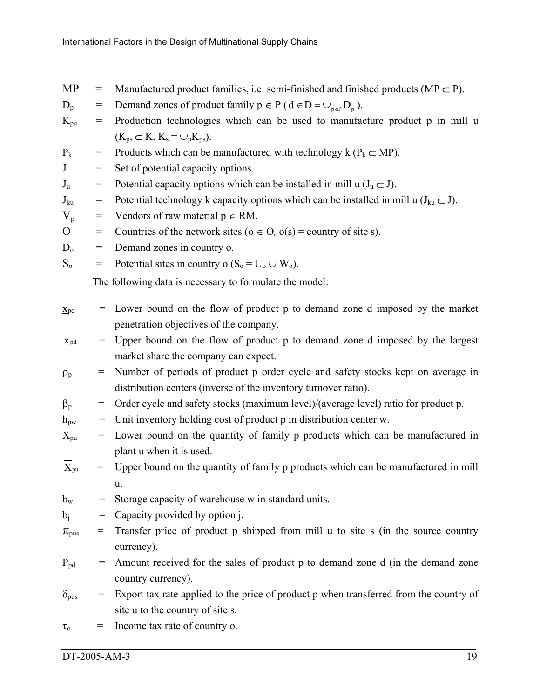| MP |  | Manufactured product families, i.e. semi-finished and finished products (MP $\subset$ P). |  |  |  |  |  |  |
|----|--|-------------------------------------------------------------------------------------------|--|--|--|--|--|--|
|----|--|-------------------------------------------------------------------------------------------|--|--|--|--|--|--|

- $D_p =$ Demand zones of product family  $p \in P$  ( $d \in D = \bigcup_{p \in P} D_p$ ).
- $K_{\text{pu}}$  = Production technologies which can be used to manufacture product p in mill u  $(K_{ps} \subset K, K_s = \cup_p K_{ps}).$
- $P_k$  = Products which can be manufactured with technology k ( $P_k \subset MP$ ).
- $J =$ Set of potential capacity options.
- $J_{\rm u}$  = Potential capacity options which can be installed in mill u  $(J_u \subset J)$ .
- $J_{ku}$  = Potential technology k capacity options which can be installed in mill u ( $J_{ku} \subset J$ ).
- $V_p$  $=$  Vendors of raw material  $p \in RM$ .
- $O =$ Countries of the network sites ( $o \in O$ ,  $o(s)$  = country of site s).
- $D_0$  = Demand zones in country o.
- $S_0 =$ Potential sites in country o ( $S_0 = U_0 \cup W_0$ ).

The following data is necessary to formulate the model:

| $X_{pd}$ |  | $\epsilon$ Lower bound on the flow of product p to demand zone d imposed by the market |
|----------|--|----------------------------------------------------------------------------------------|
|          |  | penetration objectives of the company.                                                 |

- $\overline{X}_{pd}$ Upper bound on the flow of product p to demand zone d imposed by the largest market share the company can expect.
- $\rho_p =$ Number of periods of product p order cycle and safety stocks kept on average in distribution centers (inverse of the inventory turnover ratio).
- $\beta_{p}$  = Order cycle and safety stocks (maximum level)/(average level) ratio for product p.

$$
h_{\text{pw}}
$$
 = Unit inventory holding cost of product p in distribution center w.

- $X_{\text{pu}}$  = Lower bound on the quantity of family p products which can be manufactured in plant u when it is used.
- $\overline{X}_{\text{nu}}$ Upper bound on the quantity of family p products which can be manufactured in mill u.
- $b_w =$ Storage capacity of warehouse w in standard units.
- $b_i$  = Capacity provided by option j.
- $\pi_{\text{pus}}$  = Transfer price of product p shipped from mill u to site s (in the source country currency).
- $P_{pd}$ Amount received for the sales of product p to demand zone d (in the demand zone country currency).
- $\delta_{\text{pus}}$  = Export tax rate applied to the price of product p when transferred from the country of site u to the country of site s.
- $\tau_o$  = Income tax rate of country o.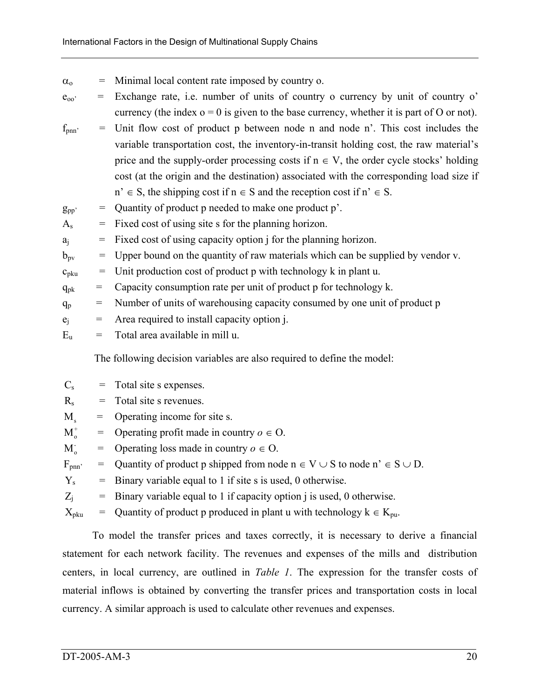- $\alpha_{o}$ Minimal local content rate imposed by country o.
- $e_{00}$ ' = Exchange rate, i.e. number of units of country o currency by unit of country o' currency (the index  $o = 0$  is given to the base currency, whether it is part of O or not).
- $f_{pnn'} =$ Unit flow cost of product p between node n and node n'. This cost includes the variable transportation cost, the inventory-in-transit holding cost, the raw material's price and the supply-order processing costs if  $n \in V$ , the order cycle stocks' holding cost (at the origin and the destination) associated with the corresponding load size if  $n' \in S$ , the shipping cost if  $n \in S$  and the reception cost if  $n' \in S$ .
- $g_{\text{pp}}$ Quantity of product p needed to make one product p'.
- $A_s =$ Fixed cost of using site s for the planning horizon.
- $a_i =$ Fixed cost of using capacity option j for the planning horizon.
- $b_{\text{pv}} =$ Upper bound on the quantity of raw materials which can be supplied by vendor v.
- $c_{\rm pku}$  = Unit production cost of product p with technology k in plant u.
- $q_{pk}$  = Capacity consumption rate per unit of product p for technology k.
- $q_p =$ Number of units of warehousing capacity consumed by one unit of product p
- $e_i$  = Area required to install capacity option j.
- $E_u$  = Total area available in mill u.

The following decision variables are also required to define the model:

| $C_{\rm s}$            | = Total site s expenses.                                                                            |
|------------------------|-----------------------------------------------------------------------------------------------------|
| $R_{\rm s}$            | $=$ Total site s revenues.                                                                          |
| $M_{\rm s}$            | $=$ Operating income for site s.                                                                    |
| $M^{\dagger}_{\alpha}$ | = Operating profit made in country $o \in O$ .                                                      |
| $M_{0}^{-}$            | = Operating loss made in country $o \in O$ .                                                        |
| $F_{\text{pnn}}$       | $\overline{z}$ Quantity of product p shipped from node $n \in V \cup S$ to node $n' \in S \cup D$ . |
| $Y_{s}$                | $=$ Binary variable equal to 1 if site s is used, 0 otherwise.                                      |
| $Z_i$                  | $=$ Binary variable equal to 1 if capacity option j is used, 0 otherwise.                           |
|                        |                                                                                                     |

 $\rm X_{\rm pku}$  $\equiv$  Quantity of product p produced in plant u with technology  $k \in K_{\text{pu}}$ .

To model the transfer prices and taxes correctly, it is necessary to derive a financial statement for each network facility. The revenues and expenses of the mills and distribution centers, in local currency, are outlined in *Table 1*. The expression for the transfer costs of material inflows is obtained by converting the transfer prices and transportation costs in local currency. A similar approach is used to calculate other revenues and expenses.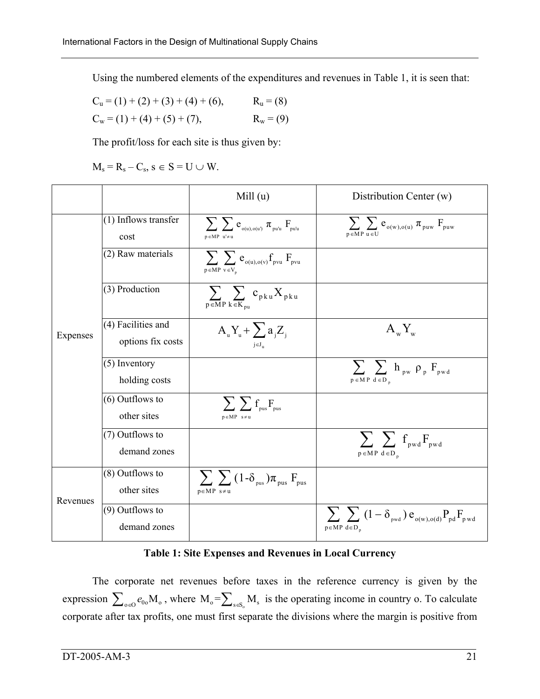Using the numbered elements of the expenditures and revenues in Table 1, it is seen that:

$$
C_u = (1) + (2) + (3) + (4) + (6),
$$
  
\n
$$
R_u = (8)
$$
  
\n
$$
C_w = (1) + (4) + (5) + (7),
$$
  
\n
$$
R_w = (9)
$$

The profit/loss for each site is thus given by:

 $M_s = R_s - C_s$ ,  $s \in S = U \cup W$ .

|          |                                         | Mill $(u)$                                                                                                                                                  | Distribution Center (w)                                                                                |
|----------|-----------------------------------------|-------------------------------------------------------------------------------------------------------------------------------------------------------------|--------------------------------------------------------------------------------------------------------|
|          | (1) Inflows transfer<br>cost            | $\sum \sum e_{\scriptscriptstyle{\text{o(u)},\text{o(u)}}}\,\pi_{\scriptscriptstyle{\text{pu'u}}}\,\text{F}_{\scriptscriptstyle{\text{pu'u}}}$<br>p∈MP u'≠u | $\sum \sum e_{o(w),o(u)} \pi_{\text{puw}} F_{\text{puw}}$<br>$\overline{p \in M} P \overline{u \in U}$ |
|          | (2) Raw materials                       | $\sum \sum e_{o(u),o(v)} f_{pvu} F_{pvu}$<br>$p \in MP \ v \in V_n$                                                                                         |                                                                                                        |
|          | (3) Production                          | $\sum_{p \in MP} \sum_{k \in K_{pu}} c_{pku} X_{pku}$                                                                                                       |                                                                                                        |
| Expenses | (4) Facilities and<br>options fix costs | $A_{\mathbf{u}}Y_{\mathbf{u}} + \sum a_{\mathbf{i}}Z_{\mathbf{i}}$<br>$j \in J_{n}$                                                                         | $A_wY_w$                                                                                               |
|          | $(5)$ Inventory<br>holding costs        |                                                                                                                                                             | $\sum_{\nu} \sum_{\nu} h_{\nu} \rho_{\nu} F_{\nu}$<br>$p \in M P \ d \in D$                            |
|          | (6) Outflows to<br>other sites          | $\sum \sum f_{\text{pus}} F_{\text{pus}}$<br>$p \in MP$ s≠u                                                                                                 |                                                                                                        |
|          | (7) Outflows to<br>demand zones         |                                                                                                                                                             | $\sum \sum f_{\text{pwd}} F_{\text{pwd}}$<br>$p \in MP \, d \in D_n$                                   |
| Revenues | (8) Outflows to<br>other sites          | $\sum \sum (1-\delta_{\text{pus}}) \pi_{\text{pus}} F_{\text{pus}}$<br>$p \in MP$ s≠u                                                                       |                                                                                                        |
|          | (9) Outflows to<br>demand zones         |                                                                                                                                                             | $\sum \sum (1 - \delta_{\text{pwd}}) e_{o(w),o(d)} P_{pd} F_{\text{pwd}}$<br>$p \in MP \, d \in D$     |

**Table 1: Site Expenses and Revenues in Local Currency** 

The corporate net revenues before taxes in the reference currency is given by the expression  $\sum_{o \in O} e_{0o} M_o$ , where  $M_o = \sum_{s \in S_o} M_s$  is the operating income in country o. To calculate corporate after tax profits, one must first separate the divisions where the margin is positive from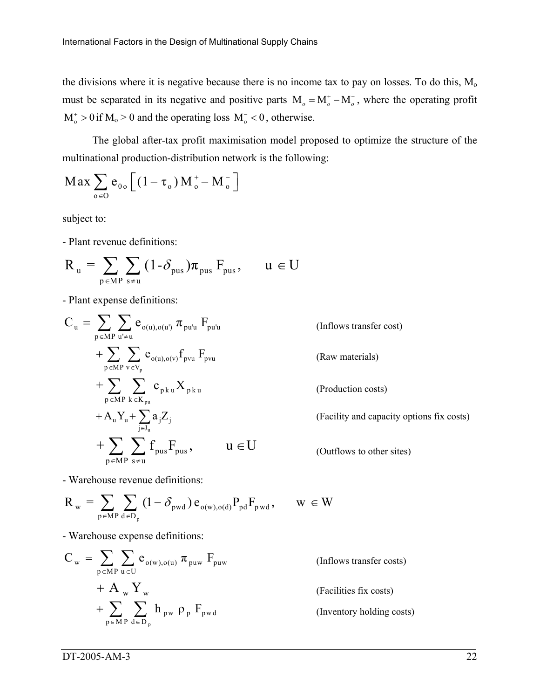the divisions where it is negative because there is no income tax to pay on losses. To do this,  $M<sub>o</sub>$ must be separated in its negative and positive parts  $M_0 = M_0^+ - M_0^-$ , where the operating profit  $M_0^+ > 0$  if  $M_0 > 0$  and the operating loss  $M_0^- < 0$ , otherwise.

The global after-tax profit maximisation model proposed to optimize the structure of the multinational production-distribution network is the following:

$$
Max \sum_{o \in O} e_{0o} \left[ (1 - \tau_o) M_o^+ - M_o^- \right]
$$

subject to:

- Plant revenue definitions:

$$
R_{u} = \sum_{p \in MP} \sum_{s \neq u} (1 - \delta_{pus}) \pi_{pus} F_{pus}, \qquad u \in U
$$

- Plant expense definitions:

$$
C_{u} = \sum_{p \in MP} \sum_{u' \neq u} e_{o(u), o(u')} \pi_{pu'u} F_{pu'u}
$$
\n(Inflows transfer cost)  
\n
$$
+ \sum_{p \in MP} \sum_{v \in V_p} e_{o(u), o(v)} f_{pvu} F_{pvu}
$$
\n(Raw materials)  
\n
$$
+ \sum_{p \in MP} \sum_{k \in K_{pu}} c_{pku} X_{pku}
$$
\n(Production costs)  
\n
$$
+ A_{u} Y_{u} + \sum_{j \in J_{u}} a_{j} Z_{j}
$$
\n(Facility and capacity options fix costs)  
\n
$$
+ \sum_{p \in MP} \sum_{s \neq u} f_{pus} F_{pus},
$$
\n
$$
u \in U
$$
\n(Outflows to other sites)

- Warehouse revenue definitions:

$$
R_{_{\,\boldsymbol{w}}}=\sum_{p\in \boldsymbol{M}}\sum_{\boldsymbol{d}\in \boldsymbol{D}_p} (1-\delta_{_{\boldsymbol{p}\boldsymbol{w}\boldsymbol{d}}})\,e_{_{o(\boldsymbol{w}),o(\boldsymbol{d})}}P_{_{\boldsymbol{p}\boldsymbol{d}}}\boldsymbol{F}_{_{\boldsymbol{p}\,\boldsymbol{w}\boldsymbol{d}}},\qquad \boldsymbol{w}\,\in W
$$

- Warehouse expense definitions:

$$
C_{w} = \sum_{p \in MP} \sum_{u \in U} e_{o(w), o(u)} \pi_{puw} F_{puw}
$$
 (Inflows transfer costs)  
+  $A_{w} Y_{w}$   
+  $\sum_{p \in MP} \sum_{d \in D_{p}} h_{pw} \rho_{p} F_{pwd}$  (Inventory holding cost)

tory holding costs)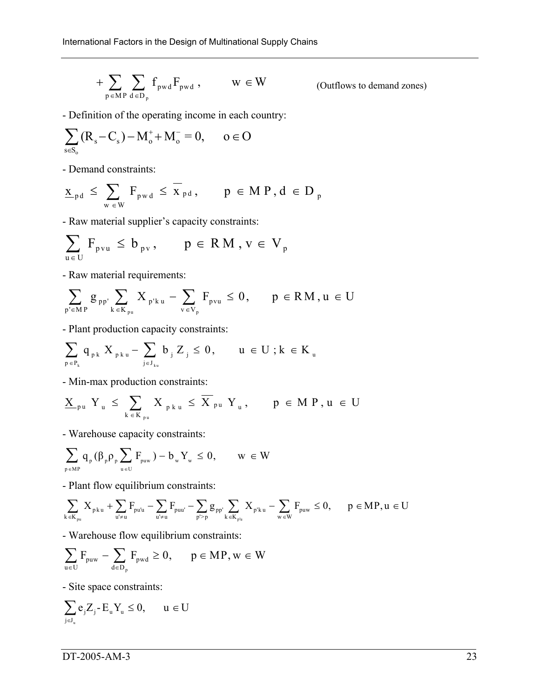$$
+ \sum_{p \in MP} \sum_{d \in D_p} f_{pwd} F_{pwd} , \qquad w \in W
$$

(Outflows to demand zones)

- Definition of the operating income in each country:

$$
\sum_{s\in S_o}(R_s-C_s)-M_o^++M_o^-=0,\qquad o\in O
$$

- Demand constraints:

$$
\underline{x}_{\text{pd}} \, \le \, \sum_{w \, \in \, W} \, F_{\text{pwd}} \, \le \, \overline{x}_{\text{pd}} \, , \qquad p \, \in \, M \, P \, , d \, \in \, D \, ,
$$

- Raw material supplier's capacity constraints:

$$
\sum_{u \in U} F_{pvu} \leq b_{pv}, \qquad p \in RM, v \in V_p
$$

- Raw material requirements:

$$
\sum_{p' \in MP} g_{\, pp'} \sum_{k \, \in K_{\, pu}} X_{\, p' k \, u} \, - \sum_{v \, \in V_p} F_{\, p v u} \, \leq \, 0 \, , \qquad p \, \in \, R \, M \, , u \, \in \, U
$$

- Plant production capacity constraints:

$$
\sum_{\mathfrak{p}\in P_k} q_{\mathfrak{p} k} \; X_{\mathfrak{p} k\, \mathfrak{u}} - \sum_{\mathfrak{j}\in J_{k\mathfrak{u}}} b_{\mathfrak{j}} \; Z_{\mathfrak{j}} \leq 0, \qquad \mathfrak{u}\,\in U \;; k\,\in K_{\mathfrak{u}} \; .
$$

- Min-max production constraints:

$$
\underline{X}_{\ _{p\,u}}\ Y_{\ _{u}}\ \leq\ \sum_{k\, \in\, K_{\ _{p\,u}}}\ X_{\ _{p\,k\,u}}\ \leq\ \overline{X}_{\ _{p\,u}}\ Y_{\ _{u}}\,,\qquad\ p\ \in\ M\ P\,,\,u\ \in\ U
$$

- Warehouse capacity constraints:

$$
\sum_{\textbf{p} \in \textbf{M} \textbf{P}} \textbf{q}_{_{\textbf{p}}}(\beta_{_{\textbf{p}}}\rho_{_{\textbf{p}}}\sum_{\textbf{u} \in U}\textbf{F}_{_{\textbf{p} \textbf{u} \textbf{w}}}) - b_{_{\textbf{w}}}Y_{_{\textbf{w}}} \leq 0, \qquad \textbf{w} \, \in W
$$

- Plant flow equilibrium constraints:

$$
\sum_{k \in K_{pu}} X_{p\, k \, u} + \sum_{u' \neq u} F_{pu'u} - \sum_{u' \neq u} F_{puu'} - \sum_{p' > p} g_{pp'} \sum_{k \in K_{p'u}} X_{p'k \, u} - \sum_{w \in W} F_{puw} \leq 0, \qquad p \in MP, u \in U
$$

- Warehouse flow equilibrium constraints:

$$
\sum_{u\in U} F_{\text{puw}} - \sum_{d\in D_p} F_{\text{pwd}} \geq 0, \qquad p\in MP, w\in W
$$

- Site space constraints:

$$
\sum_{\mathbf{j}\in J_{\mathbf{u}}}e_{\mathbf{j}}Z_{\mathbf{j}}\text{-}E_{\mathbf{u}}Y_{\mathbf{u}}\leq 0,\qquad u\in U
$$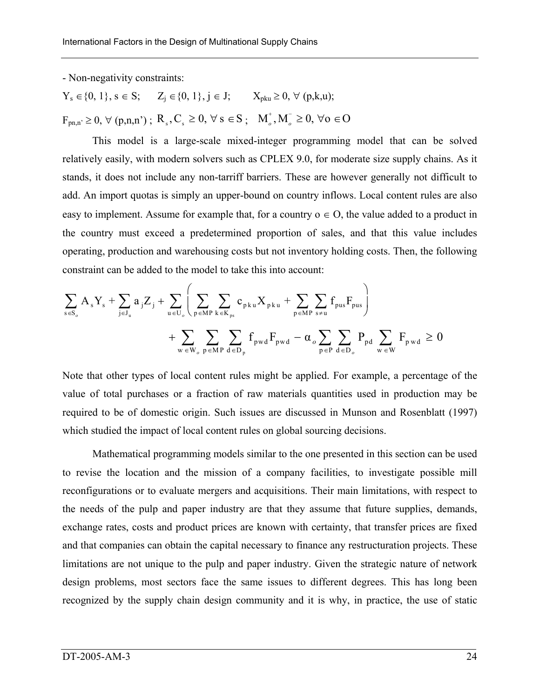- Non-negativity constraints:

 $Y_s \in \{0, 1\}, s \in S; \quad Z_j \in \{0, 1\}, j \in J; \quad X_{pku} \ge 0, \forall (p, k, u);$  $F_{pn,n'} \ge 0$ ,  $\forall$  (p,n,n');  $R_s$ ,  $C_s \ge 0$ ,  $\forall s \in S$ ;  $M_o^+, M_o^- \ge 0$ ,  $\forall o \in O$ 

This model is a large-scale mixed-integer programming model that can be solved relatively easily, with modern solvers such as CPLEX 9.0, for moderate size supply chains. As it stands, it does not include any non-tarriff barriers. These are however generally not difficult to add. An import quotas is simply an upper-bound on country inflows. Local content rules are also easy to implement. Assume for example that, for a country  $o \in O$ , the value added to a product in the country must exceed a predetermined proportion of sales, and that this value includes operating, production and warehousing costs but not inventory holding costs. Then, the following constraint can be added to the model to take this into account:

$$
\sum_{s \in S_o} A_s Y_s + \sum_{j \in J_u} a_j Z_j + \sum_{u \in U_o} \left( \sum_{p \in MP} \sum_{k \in K_{ps}} c_{pku} X_{pku} + \sum_{p \in MP} \sum_{s \neq u} f_{pus} F_{pus} \right) + \sum_{w \in W_o} \sum_{p \in MP} \sum_{d \in D_p} f_{pwd} F_{pwd} - \alpha_o \sum_{p \in P} \sum_{d \in D_o} P_{pd} \sum_{w \in W} F_{pwd} \geq 0
$$

Note that other types of local content rules might be applied. For example, a percentage of the value of total purchases or a fraction of raw materials quantities used in production may be required to be of domestic origin. Such issues are discussed in Munson and Rosenblatt (1997) which studied the impact of local content rules on global sourcing decisions.

Mathematical programming models similar to the one presented in this section can be used to revise the location and the mission of a company facilities, to investigate possible mill reconfigurations or to evaluate mergers and acquisitions. Their main limitations, with respect to the needs of the pulp and paper industry are that they assume that future supplies, demands, exchange rates, costs and product prices are known with certainty, that transfer prices are fixed and that companies can obtain the capital necessary to finance any restructuration projects. These limitations are not unique to the pulp and paper industry. Given the strategic nature of network design problems, most sectors face the same issues to different degrees. This has long been recognized by the supply chain design community and it is why, in practice, the use of static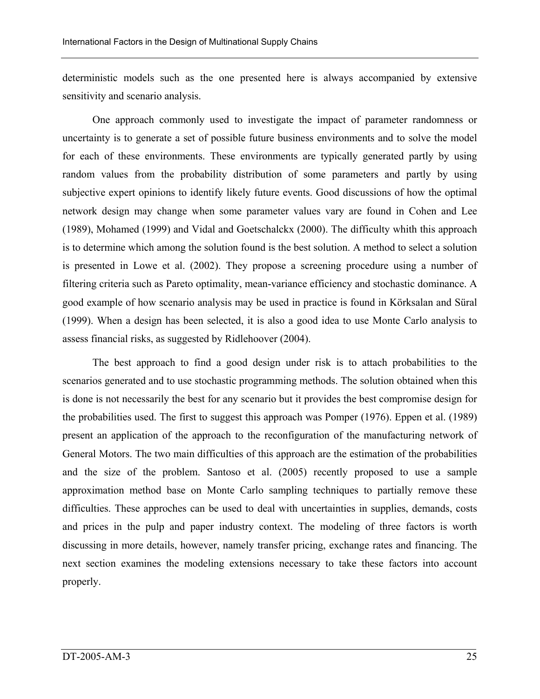deterministic models such as the one presented here is always accompanied by extensive sensitivity and scenario analysis.

One approach commonly used to investigate the impact of parameter randomness or uncertainty is to generate a set of possible future business environments and to solve the model for each of these environments. These environments are typically generated partly by using random values from the probability distribution of some parameters and partly by using subjective expert opinions to identify likely future events. Good discussions of how the optimal network design may change when some parameter values vary are found in Cohen and Lee (1989), Mohamed (1999) and Vidal and Goetschalckx (2000). The difficulty whith this approach is to determine which among the solution found is the best solution. A method to select a solution is presented in Lowe et al. (2002). They propose a screening procedure using a number of filtering criteria such as Pareto optimality, mean-variance efficiency and stochastic dominance. A good example of how scenario analysis may be used in practice is found in Körksalan and Süral (1999). When a design has been selected, it is also a good idea to use Monte Carlo analysis to assess financial risks, as suggested by Ridlehoover (2004).

The best approach to find a good design under risk is to attach probabilities to the scenarios generated and to use stochastic programming methods. The solution obtained when this is done is not necessarily the best for any scenario but it provides the best compromise design for the probabilities used. The first to suggest this approach was Pomper (1976). Eppen et al. (1989) present an application of the approach to the reconfiguration of the manufacturing network of General Motors. The two main difficulties of this approach are the estimation of the probabilities and the size of the problem. Santoso et al. (2005) recently proposed to use a sample approximation method base on Monte Carlo sampling techniques to partially remove these difficulties. These approches can be used to deal with uncertainties in supplies, demands, costs and prices in the pulp and paper industry context. The modeling of three factors is worth discussing in more details, however, namely transfer pricing, exchange rates and financing. The next section examines the modeling extensions necessary to take these factors into account properly.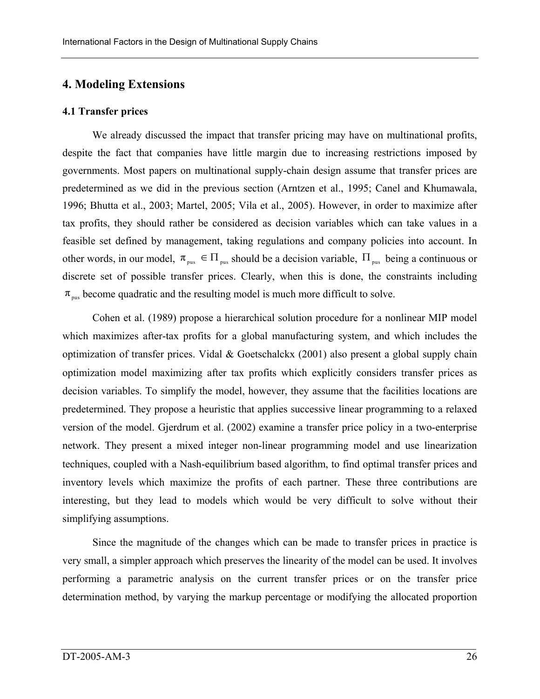# **4. Modeling Extensions**

#### **4.1 Transfer prices**

We already discussed the impact that transfer pricing may have on multinational profits, despite the fact that companies have little margin due to increasing restrictions imposed by governments. Most papers on multinational supply-chain design assume that transfer prices are predetermined as we did in the previous section (Arntzen et al., 1995; Canel and Khumawala, 1996; Bhutta et al., 2003; Martel, 2005; Vila et al., 2005). However, in order to maximize after tax profits, they should rather be considered as decision variables which can take values in a feasible set defined by management, taking regulations and company policies into account. In other words, in our model,  $\pi_{\text{pus}} \in \Pi_{\text{pus}}$  should be a decision variable,  $\Pi_{\text{pus}}$  being a continuous or discrete set of possible transfer prices. Clearly, when this is done, the constraints including  $\pi_{\text{mus}}$  become quadratic and the resulting model is much more difficult to solve.

Cohen et al. (1989) propose a hierarchical solution procedure for a nonlinear MIP model which maximizes after-tax profits for a global manufacturing system, and which includes the optimization of transfer prices. Vidal & Goetschalckx (2001) also present a global supply chain optimization model maximizing after tax profits which explicitly considers transfer prices as decision variables. To simplify the model, however, they assume that the facilities locations are predetermined. They propose a heuristic that applies successive linear programming to a relaxed version of the model. Gjerdrum et al. (2002) examine a transfer price policy in a two-enterprise network. They present a mixed integer non-linear programming model and use linearization techniques, coupled with a Nash-equilibrium based algorithm, to find optimal transfer prices and inventory levels which maximize the profits of each partner. These three contributions are interesting, but they lead to models which would be very difficult to solve without their simplifying assumptions.

Since the magnitude of the changes which can be made to transfer prices in practice is very small, a simpler approach which preserves the linearity of the model can be used. It involves performing a parametric analysis on the current transfer prices or on the transfer price determination method, by varying the markup percentage or modifying the allocated proportion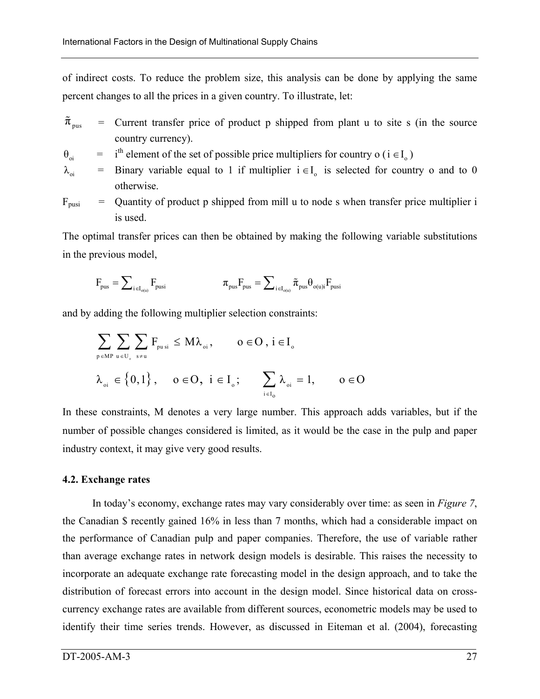of indirect costs. To reduce the problem size, this analysis can be done by applying the same percent changes to all the prices in a given country. To illustrate, let:

- $\tilde{\pi}_{\text{pus}}$  =  $=$  Current transfer price of product p shipped from plant u to site s (in the source country currency).
- $\theta_{\rm ori}$  $i<sup>th</sup>$  element of the set of possible price multipliers for country o ( $i \in I_0$ )
- $\lambda_{\alpha i}$  = Binary variable equal to 1 if multiplier  $i \in I_0$  is selected for country o and to 0 otherwise.
- $F_{\text{pusi}}$ Quantity of product p shipped from mill u to node s when transfer price multiplier i is used.

The optimal transfer prices can then be obtained by making the following variable substitutions in the previous model,

$$
F_{\scriptscriptstyle \text{pus}} = \sum\nolimits_{i \in I_{\scriptscriptstyle \text{o}(u)}} F_{\scriptscriptstyle \text{pusi}} \qquad \qquad \pi_{\scriptscriptstyle \text{pus}} F_{\scriptscriptstyle \text{pus}} = \sum\nolimits_{i \in I_{\scriptscriptstyle \text{o}(u)}} \tilde{\pi}_{\scriptscriptstyle \text{pus}} \theta_{\scriptscriptstyle \text{o}(u)i} F_{\scriptscriptstyle \text{pusi}}
$$

and by adding the following multiplier selection constraints:

$$
\begin{aligned} & \sum_{\boldsymbol{p}\in \text{MP}\,\,u\,\in\,U_{_{\mathrm{o}}}}\sum_{\boldsymbol{s}\neq u}F_{_{pu\,si}}\,\leq\,M\lambda_{_{oi}},\qquad o\in\text{O}\,,\,i\in I_{_{o}}\\ & \lambda_{_{oi}}\,\in\left\{0,1\right\},\quad o\in\text{O},\,\,i\in I_{_{o}};\qquad\sum_{_{i\in I_{o}}}\lambda_{_{oi}}=1,\qquad o\in\text{O} \end{aligned}
$$

In these constraints, M denotes a very large number. This approach adds variables, but if the number of possible changes considered is limited, as it would be the case in the pulp and paper industry context, it may give very good results.

## **4.2. Exchange rates**

In today's economy, exchange rates may vary considerably over time: as seen in *Figure 7*, the Canadian \$ recently gained 16% in less than 7 months, which had a considerable impact on the performance of Canadian pulp and paper companies. Therefore, the use of variable rather than average exchange rates in network design models is desirable. This raises the necessity to incorporate an adequate exchange rate forecasting model in the design approach, and to take the distribution of forecast errors into account in the design model. Since historical data on crosscurrency exchange rates are available from different sources, econometric models may be used to identify their time series trends. However, as discussed in Eiteman et al. (2004), forecasting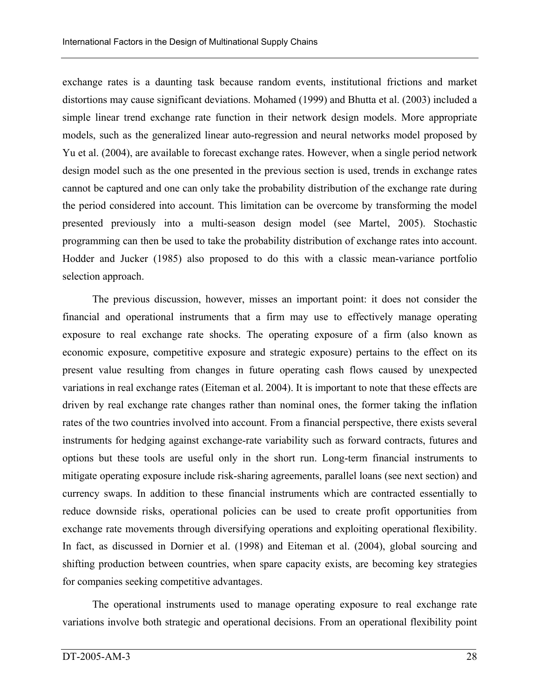exchange rates is a daunting task because random events, institutional frictions and market distortions may cause significant deviations. Mohamed (1999) and Bhutta et al. (2003) included a simple linear trend exchange rate function in their network design models. More appropriate models, such as the generalized linear auto-regression and neural networks model proposed by Yu et al. (2004), are available to forecast exchange rates. However, when a single period network design model such as the one presented in the previous section is used, trends in exchange rates cannot be captured and one can only take the probability distribution of the exchange rate during the period considered into account. This limitation can be overcome by transforming the model presented previously into a multi-season design model (see Martel, 2005). Stochastic programming can then be used to take the probability distribution of exchange rates into account. Hodder and Jucker (1985) also proposed to do this with a classic mean-variance portfolio selection approach.

The previous discussion, however, misses an important point: it does not consider the financial and operational instruments that a firm may use to effectively manage operating exposure to real exchange rate shocks. The operating exposure of a firm (also known as economic exposure, competitive exposure and strategic exposure) pertains to the effect on its present value resulting from changes in future operating cash flows caused by unexpected variations in real exchange rates (Eiteman et al. 2004). It is important to note that these effects are driven by real exchange rate changes rather than nominal ones, the former taking the inflation rates of the two countries involved into account. From a financial perspective, there exists several instruments for hedging against exchange-rate variability such as forward contracts, futures and options but these tools are useful only in the short run. Long-term financial instruments to mitigate operating exposure include risk-sharing agreements, parallel loans (see next section) and currency swaps. In addition to these financial instruments which are contracted essentially to reduce downside risks, operational policies can be used to create profit opportunities from exchange rate movements through diversifying operations and exploiting operational flexibility. In fact, as discussed in Dornier et al. (1998) and Eiteman et al. (2004), global sourcing and shifting production between countries, when spare capacity exists, are becoming key strategies for companies seeking competitive advantages.

The operational instruments used to manage operating exposure to real exchange rate variations involve both strategic and operational decisions. From an operational flexibility point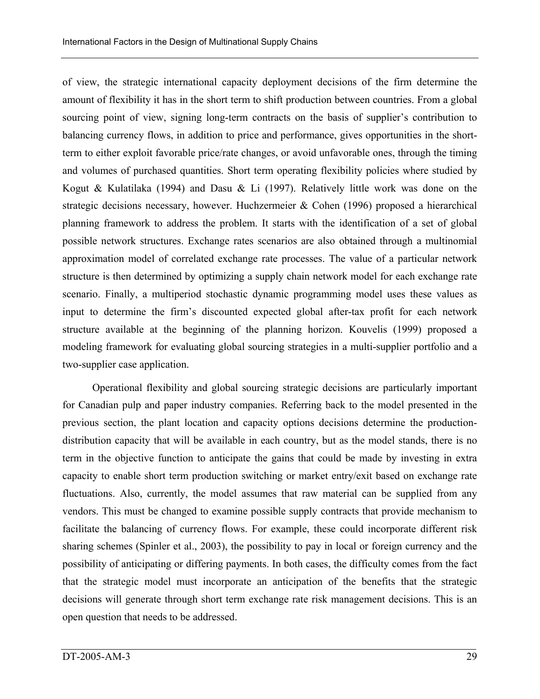of view, the strategic international capacity deployment decisions of the firm determine the amount of flexibility it has in the short term to shift production between countries. From a global sourcing point of view, signing long-term contracts on the basis of supplier's contribution to balancing currency flows, in addition to price and performance, gives opportunities in the shortterm to either exploit favorable price/rate changes, or avoid unfavorable ones, through the timing and volumes of purchased quantities. Short term operating flexibility policies where studied by Kogut & Kulatilaka (1994) and Dasu & Li (1997). Relatively little work was done on the strategic decisions necessary, however. Huchzermeier & Cohen (1996) proposed a hierarchical planning framework to address the problem. It starts with the identification of a set of global possible network structures. Exchange rates scenarios are also obtained through a multinomial approximation model of correlated exchange rate processes. The value of a particular network structure is then determined by optimizing a supply chain network model for each exchange rate scenario. Finally, a multiperiod stochastic dynamic programming model uses these values as input to determine the firm's discounted expected global after-tax profit for each network structure available at the beginning of the planning horizon. Kouvelis (1999) proposed a modeling framework for evaluating global sourcing strategies in a multi-supplier portfolio and a two-supplier case application.

Operational flexibility and global sourcing strategic decisions are particularly important for Canadian pulp and paper industry companies. Referring back to the model presented in the previous section, the plant location and capacity options decisions determine the productiondistribution capacity that will be available in each country, but as the model stands, there is no term in the objective function to anticipate the gains that could be made by investing in extra capacity to enable short term production switching or market entry/exit based on exchange rate fluctuations. Also, currently, the model assumes that raw material can be supplied from any vendors. This must be changed to examine possible supply contracts that provide mechanism to facilitate the balancing of currency flows. For example, these could incorporate different risk sharing schemes (Spinler et al., 2003), the possibility to pay in local or foreign currency and the possibility of anticipating or differing payments. In both cases, the difficulty comes from the fact that the strategic model must incorporate an anticipation of the benefits that the strategic decisions will generate through short term exchange rate risk management decisions. This is an open question that needs to be addressed.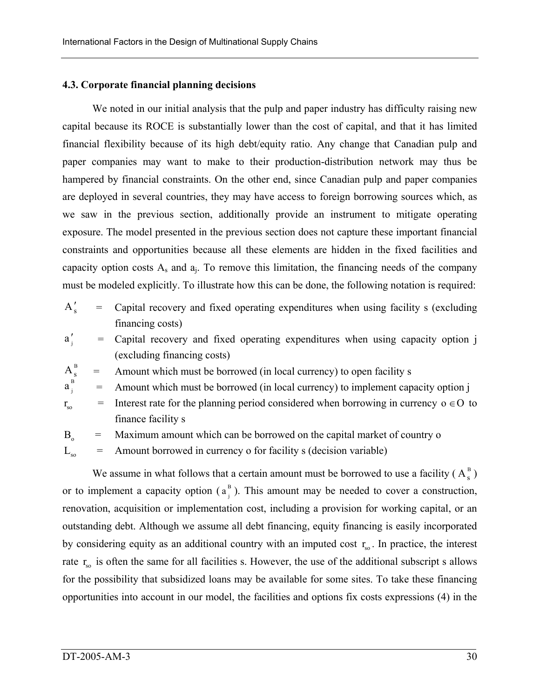#### **4.3. Corporate financial planning decisions**

We noted in our initial analysis that the pulp and paper industry has difficulty raising new capital because its ROCE is substantially lower than the cost of capital, and that it has limited financial flexibility because of its high debt/equity ratio. Any change that Canadian pulp and paper companies may want to make to their production-distribution network may thus be hampered by financial constraints. On the other end, since Canadian pulp and paper companies are deployed in several countries, they may have access to foreign borrowing sources which, as we saw in the previous section, additionally provide an instrument to mitigate operating exposure. The model presented in the previous section does not capture these important financial constraints and opportunities because all these elements are hidden in the fixed facilities and capacity option costs  $A_s$  and  $a_i$ . To remove this limitation, the financing needs of the company must be modeled explicitly. To illustrate how this can be done, the following notation is required:

- $A_{s}'$  $=$ Capital recovery and fixed operating expenditures when using facility s (excluding financing costs)
- $a'_i$ Capital recovery and fixed operating expenditures when using capacity option j (excluding financing costs)
- $A_{s}^{B}$  = Amount which must be borrowed (in local currency) to open facility s

 $a_i^B$ Amount which must be borrowed (in local currency) to implement capacity option j

 $r_{\rm so}$  = Interest rate for the planning period considered when borrowing in currency  $o \in O$  to finance facility s

 $B_0$  = Maximum amount which can be borrowed on the capital market of country o

 $L_{\infty}$  = Amount borrowed in currency o for facility s (decision variable)

We assume in what follows that a certain amount must be borrowed to use a facility  $(A_s^B)$ or to implement a capacity option  $(a_j^B)$ . This amount may be needed to cover a construction, renovation, acquisition or implementation cost, including a provision for working capital, or an outstanding debt. Although we assume all debt financing, equity financing is easily incorporated by considering equity as an additional country with an imputed cost  $r_{so}$ . In practice, the interest rate  $r_{\rm so}$  is often the same for all facilities s. However, the use of the additional subscript s allows for the possibility that subsidized loans may be available for some sites. To take these financing opportunities into account in our model, the facilities and options fix costs expressions (4) in the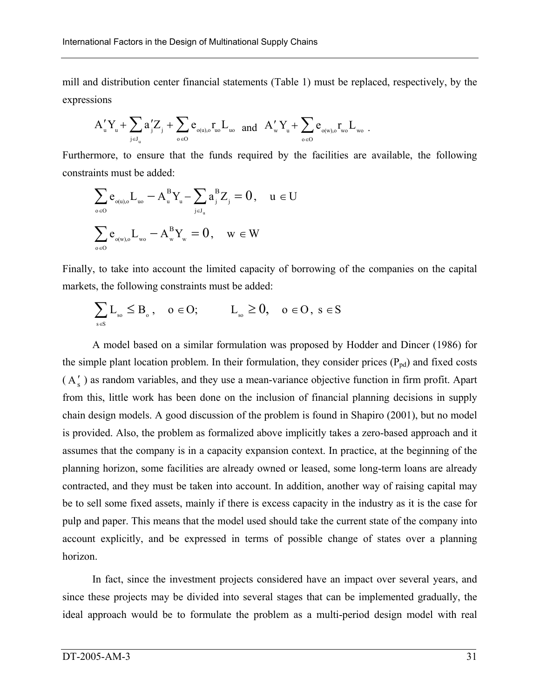mill and distribution center financial statements (Table 1) must be replaced, respectively, by the expressions

$$
A_u'Y_u+\sum_{\mathfrak{j}\in J_u}a'_jZ_{\mathfrak{j}}+\sum_{\mathfrak{o}\in O}e_{\mathfrak{o}(u),\mathfrak{o}}r_{\mathfrak{u}\mathfrak{o}}L_{\mathfrak{u}\mathfrak{o}}\quad\text{and}\quad A_w'Y_u+\sum_{\mathfrak{o}\in O}e_{\mathfrak{o}(w),\mathfrak{o}}r_{\mathfrak{w}\mathfrak{o}}L_{\mathfrak{w}\mathfrak{o}}\;.
$$

Furthermore, to ensure that the funds required by the facilities are available, the following constraints must be added:

$$
\begin{aligned} & \sum_{\mathbf{0} \in \mathcal{O}} e_{_{\mathbf{0}(u),\mathbf{0}}} L_{_{u\mathbf{0}}} - A_{_{u}}^{_{B}} Y_{_{u}} - \sum_{_{j} \in J_{_{u}}} a_{_{j}}^{^{B}} Z_{_{j}} = 0 \,, \quad u \in U \\ & \sum_{\mathbf{0} \in \mathcal{O}} e_{_{\mathbf{0}(w),\mathbf{0}}} L_{_{w\mathbf{0}}} - A_{_{w}}^{^{B}} Y_{_{w}} = 0 \,, \quad w \in W \end{aligned}
$$

Finally, to take into account the limited capacity of borrowing of the companies on the capital markets, the following constraints must be added:

$$
\sum_{s\in S} L_{_{so}} \leq B_{_{o}}\,,\quad o\in O;\qquad \quad L_{_{so}}\geq 0,\quad o\in O\,,\;s\in S
$$

A model based on a similar formulation was proposed by Hodder and Dincer (1986) for the simple plant location problem. In their formulation, they consider prices  $(P_{pd})$  and fixed costs  $(A'_{s})$  as random variables, and they use a mean-variance objective function in firm profit. Apart from this, little work has been done on the inclusion of financial planning decisions in supply chain design models. A good discussion of the problem is found in Shapiro (2001), but no model is provided. Also, the problem as formalized above implicitly takes a zero-based approach and it assumes that the company is in a capacity expansion context. In practice, at the beginning of the planning horizon, some facilities are already owned or leased, some long-term loans are already contracted, and they must be taken into account. In addition, another way of raising capital may be to sell some fixed assets, mainly if there is excess capacity in the industry as it is the case for pulp and paper. This means that the model used should take the current state of the company into account explicitly, and be expressed in terms of possible change of states over a planning horizon.

In fact, since the investment projects considered have an impact over several years, and since these projects may be divided into several stages that can be implemented gradually, the ideal approach would be to formulate the problem as a multi-period design model with real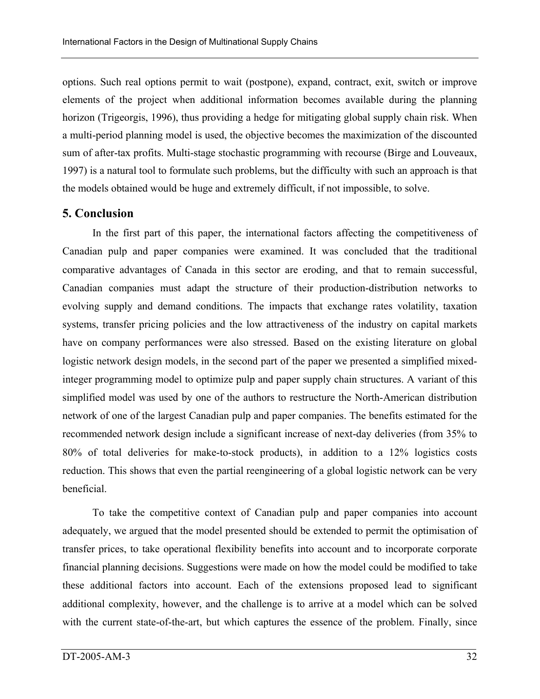options. Such real options permit to wait (postpone), expand, contract, exit, switch or improve elements of the project when additional information becomes available during the planning horizon (Trigeorgis, 1996), thus providing a hedge for mitigating global supply chain risk. When a multi-period planning model is used, the objective becomes the maximization of the discounted sum of after-tax profits. Multi-stage stochastic programming with recourse (Birge and Louveaux, 1997) is a natural tool to formulate such problems, but the difficulty with such an approach is that the models obtained would be huge and extremely difficult, if not impossible, to solve.

# **5. Conclusion**

In the first part of this paper, the international factors affecting the competitiveness of Canadian pulp and paper companies were examined. It was concluded that the traditional comparative advantages of Canada in this sector are eroding, and that to remain successful, Canadian companies must adapt the structure of their production-distribution networks to evolving supply and demand conditions. The impacts that exchange rates volatility, taxation systems, transfer pricing policies and the low attractiveness of the industry on capital markets have on company performances were also stressed. Based on the existing literature on global logistic network design models, in the second part of the paper we presented a simplified mixedinteger programming model to optimize pulp and paper supply chain structures. A variant of this simplified model was used by one of the authors to restructure the North-American distribution network of one of the largest Canadian pulp and paper companies. The benefits estimated for the recommended network design include a significant increase of next-day deliveries (from 35% to 80% of total deliveries for make-to-stock products), in addition to a 12% logistics costs reduction. This shows that even the partial reengineering of a global logistic network can be very beneficial.

To take the competitive context of Canadian pulp and paper companies into account adequately, we argued that the model presented should be extended to permit the optimisation of transfer prices, to take operational flexibility benefits into account and to incorporate corporate financial planning decisions. Suggestions were made on how the model could be modified to take these additional factors into account. Each of the extensions proposed lead to significant additional complexity, however, and the challenge is to arrive at a model which can be solved with the current state-of-the-art, but which captures the essence of the problem. Finally, since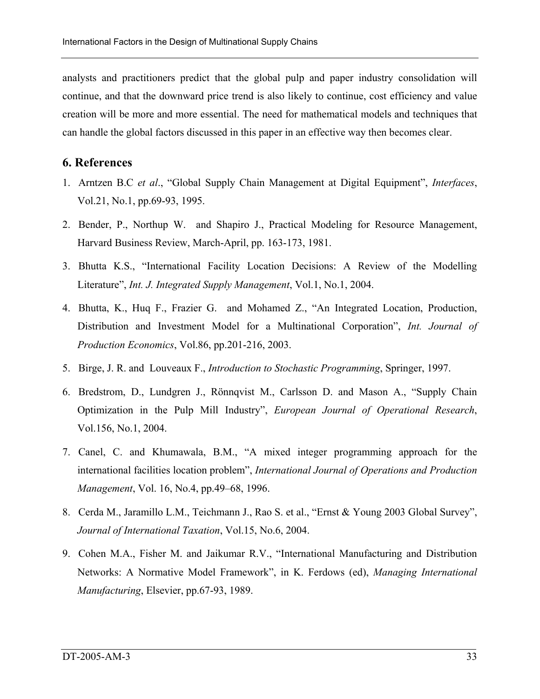analysts and practitioners predict that the global pulp and paper industry consolidation will continue, and that the downward price trend is also likely to continue, cost efficiency and value creation will be more and more essential. The need for mathematical models and techniques that can handle the global factors discussed in this paper in an effective way then becomes clear.

# **6. References**

- 1. Arntzen B.C *et al*., "Global Supply Chain Management at Digital Equipment", *Interfaces*, Vol.21, No.1, pp.69-93, 1995.
- 2. Bender, P., Northup W. and Shapiro J., Practical Modeling for Resource Management, Harvard Business Review, March-April, pp. 163-173, 1981.
- 3. Bhutta K.S., "International Facility Location Decisions: A Review of the Modelling Literature", *Int. J. Integrated Supply Management*, Vol.1, No.1, 2004.
- 4. Bhutta, K., Huq F., Frazier G. and Mohamed Z., "An Integrated Location, Production, Distribution and Investment Model for a Multinational Corporation", *Int. Journal of Production Economics*, Vol.86, pp.201-216, 2003.
- 5. Birge, J. R. and Louveaux F., *Introduction to Stochastic Programming*, Springer, 1997.
- 6. Bredstrom, D., Lundgren J., Rönnqvist M., Carlsson D. and Mason A., "Supply Chain Optimization in the Pulp Mill Industry", *European Journal of Operational Research*, Vol.156, No.1, 2004.
- 7. Canel, C. and Khumawala, B.M., "A mixed integer programming approach for the international facilities location problem", *International Journal of Operations and Production Management*, Vol. 16, No.4, pp.49–68, 1996.
- 8. Cerda M., Jaramillo L.M., Teichmann J., Rao S. et al., "Ernst & Young 2003 Global Survey", *Journal of International Taxation*, Vol.15, No.6, 2004.
- 9. Cohen M.A., Fisher M. and Jaikumar R.V., "International Manufacturing and Distribution Networks: A Normative Model Framework", in K. Ferdows (ed), *Managing International Manufacturing*, Elsevier, pp.67-93, 1989.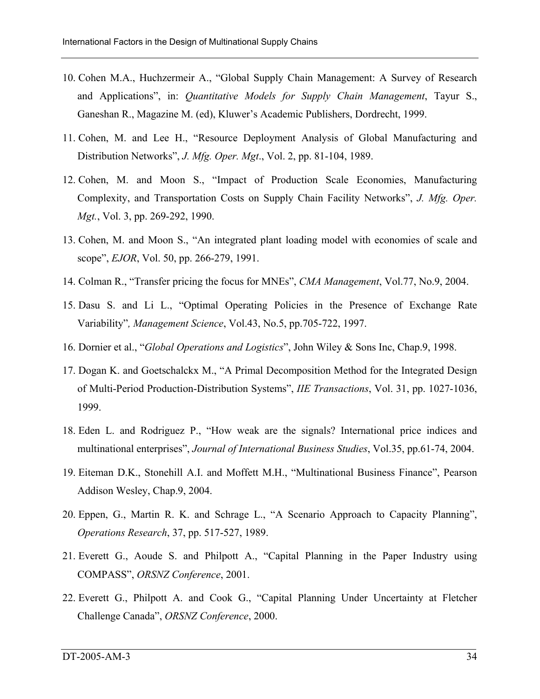- 10. Cohen M.A., Huchzermeir A., "Global Supply Chain Management: A Survey of Research and Applications", in: *Quantitative Models for Supply Chain Management*, Tayur S., Ganeshan R., Magazine M. (ed), Kluwer's Academic Publishers, Dordrecht, 1999.
- 11. Cohen, M. and Lee H., "Resource Deployment Analysis of Global Manufacturing and Distribution Networks", *J. Mfg. Oper. Mgt*., Vol. 2, pp. 81-104, 1989.
- 12. Cohen, M. and Moon S., "Impact of Production Scale Economies, Manufacturing Complexity, and Transportation Costs on Supply Chain Facility Networks", *J. Mfg. Oper. Mgt.*, Vol. 3, pp. 269-292, 1990.
- 13. Cohen, M. and Moon S., "An integrated plant loading model with economies of scale and scope", *EJOR*, Vol. 50, pp. 266-279, 1991.
- 14. Colman R., "Transfer pricing the focus for MNEs", *CMA Management*, Vol.77, No.9, 2004.
- 15. Dasu S. and Li L., "Optimal Operating Policies in the Presence of Exchange Rate Variability"*, Management Science*, Vol.43, No.5, pp.705-722, 1997.
- 16. Dornier et al., "*Global Operations and Logistics*", John Wiley & Sons Inc, Chap.9, 1998.
- 17. Dogan K. and Goetschalckx M., "A Primal Decomposition Method for the Integrated Design of Multi-Period Production-Distribution Systems", *IIE Transactions*, Vol. 31, pp. 1027-1036, 1999.
- 18. Eden L. and Rodriguez P., "How weak are the signals? International price indices and multinational enterprises", *Journal of International Business Studies*, Vol.35, pp.61-74, 2004.
- 19. Eiteman D.K., Stonehill A.I. and Moffett M.H., "Multinational Business Finance", Pearson Addison Wesley, Chap.9, 2004.
- 20. Eppen, G., Martin R. K. and Schrage L., "A Scenario Approach to Capacity Planning", *Operations Research*, 37, pp. 517-527, 1989.
- 21. Everett G., Aoude S. and Philpott A., "Capital Planning in the Paper Industry using COMPASS", *ORSNZ Conference*, 2001.
- 22. Everett G., Philpott A. and Cook G., "Capital Planning Under Uncertainty at Fletcher Challenge Canada", *ORSNZ Conference*, 2000.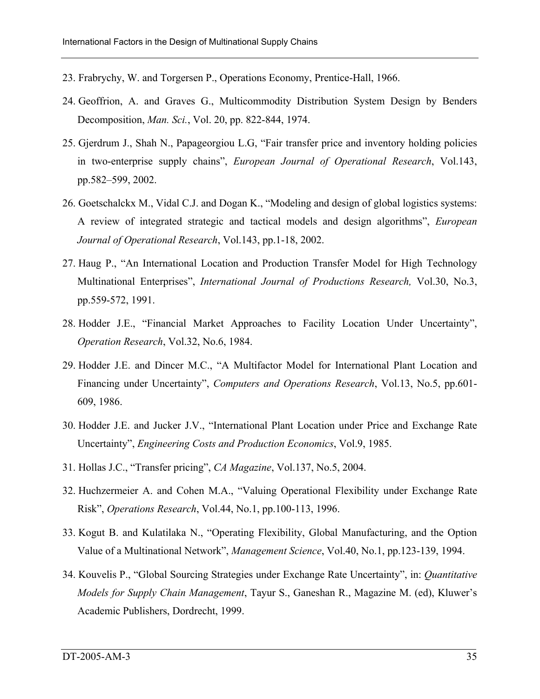- 23. Frabrychy, W. and Torgersen P., Operations Economy, Prentice-Hall, 1966.
- 24. Geoffrion, A. and Graves G., Multicommodity Distribution System Design by Benders Decomposition, *Man. Sci.*, Vol. 20, pp. 822-844, 1974.
- 25. Gjerdrum J., Shah N., Papageorgiou L.G, "Fair transfer price and inventory holding policies in two-enterprise supply chains", *European Journal of Operational Research*, Vol.143, pp.582–599, 2002.
- 26. Goetschalckx M., Vidal C.J. and Dogan K., "Modeling and design of global logistics systems: A review of integrated strategic and tactical models and design algorithms", *European Journal of Operational Research*, Vol.143, pp.1-18, 2002.
- 27. Haug P., "An International Location and Production Transfer Model for High Technology Multinational Enterprises", *International Journal of Productions Research,* Vol.30, No.3, pp.559-572, 1991.
- 28. Hodder J.E., "Financial Market Approaches to Facility Location Under Uncertainty", *Operation Research*, Vol.32, No.6, 1984.
- 29. Hodder J.E. and Dincer M.C., "A Multifactor Model for International Plant Location and Financing under Uncertainty", *Computers and Operations Research*, Vol.13, No.5, pp.601- 609, 1986.
- 30. Hodder J.E. and Jucker J.V., "International Plant Location under Price and Exchange Rate Uncertainty", *Engineering Costs and Production Economics*, Vol.9, 1985.
- 31. Hollas J.C., "Transfer pricing", *CA Magazine*, Vol.137, No.5, 2004.
- 32. Huchzermeier A. and Cohen M.A., "Valuing Operational Flexibility under Exchange Rate Risk", *Operations Research*, Vol.44, No.1, pp.100-113, 1996.
- 33. Kogut B. and Kulatilaka N., "Operating Flexibility, Global Manufacturing, and the Option Value of a Multinational Network", *Management Science*, Vol.40, No.1, pp.123-139, 1994.
- 34. Kouvelis P., "Global Sourcing Strategies under Exchange Rate Uncertainty", in: *Quantitative Models for Supply Chain Management*, Tayur S., Ganeshan R., Magazine M. (ed), Kluwer's Academic Publishers, Dordrecht, 1999.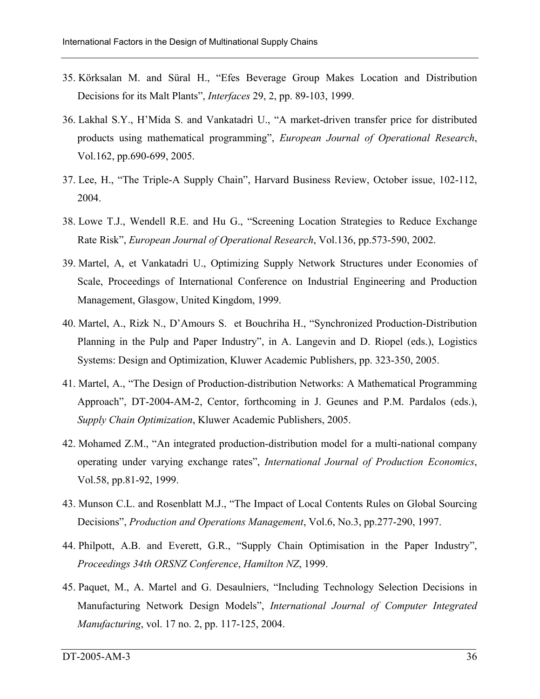- 35. Körksalan M. and Süral H., "Efes Beverage Group Makes Location and Distribution Decisions for its Malt Plants", *Interfaces* 29, 2, pp. 89-103, 1999.
- 36. Lakhal S.Y., H'Mida S. and Vankatadri U., "A market-driven transfer price for distributed products using mathematical programming", *European Journal of Operational Research*, Vol.162, pp.690-699, 2005.
- 37. Lee, H., "The Triple-A Supply Chain", Harvard Business Review, October issue, 102-112, 2004.
- 38. Lowe T.J., Wendell R.E. and Hu G., "Screening Location Strategies to Reduce Exchange Rate Risk", *European Journal of Operational Research*, Vol.136, pp.573-590, 2002.
- 39. Martel, A, et Vankatadri U., Optimizing Supply Network Structures under Economies of Scale, Proceedings of International Conference on Industrial Engineering and Production Management, Glasgow, United Kingdom, 1999.
- 40. Martel, A., Rizk N., D'Amours S. et Bouchriha H., "Synchronized Production-Distribution Planning in the Pulp and Paper Industry", in A. Langevin and D. Riopel (eds.), Logistics Systems: Design and Optimization, Kluwer Academic Publishers, pp. 323-350, 2005.
- 41. Martel, A., "The Design of Production-distribution Networks: A Mathematical Programming Approach", DT-2004-AM-2, Centor, forthcoming in J. Geunes and P.M. Pardalos (eds.), *Supply Chain Optimization*, Kluwer Academic Publishers, 2005.
- 42. Mohamed Z.M., "An integrated production-distribution model for a multi-national company operating under varying exchange rates", *International Journal of Production Economics*, Vol.58, pp.81-92, 1999.
- 43. Munson C.L. and Rosenblatt M.J., "The Impact of Local Contents Rules on Global Sourcing Decisions", *Production and Operations Management*, Vol.6, No.3, pp.277-290, 1997.
- 44. Philpott, A.B. and Everett, G.R., "Supply Chain Optimisation in the Paper Industry", *Proceedings 34th ORSNZ Conference*, *Hamilton NZ*, 1999.
- 45. Paquet, M., A. Martel and G. Desaulniers, "Including Technology Selection Decisions in Manufacturing Network Design Models", *International Journal of Computer Integrated Manufacturing*, vol. 17 no. 2, pp. 117-125, 2004.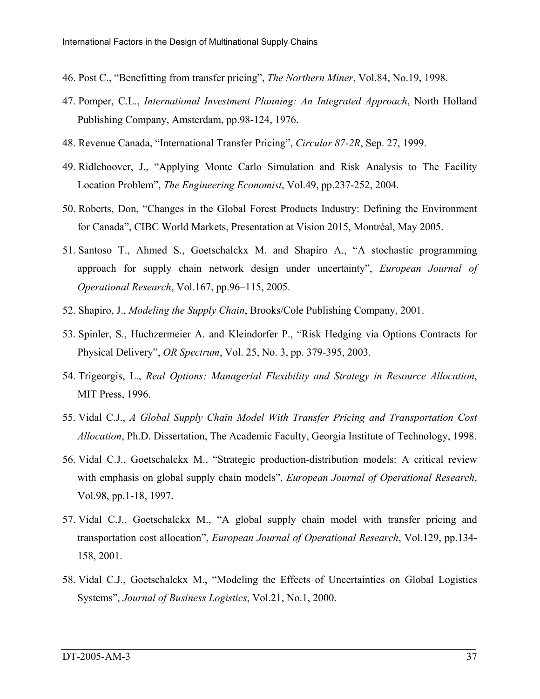- 46. Post C., "Benefitting from transfer pricing", *The Northern Miner*, Vol.84, No.19, 1998.
- 47. Pomper, C.L., *International Investment Planning: An Integrated Approach*, North Holland Publishing Company, Amsterdam, pp.98-124, 1976.
- 48. Revenue Canada, "International Transfer Pricing", *Circular 87-2R*, Sep. 27, 1999.
- 49. Ridlehoover, J., "Applying Monte Carlo Simulation and Risk Analysis to The Facility Location Problem", *The Engineering Economist*, Vol.49, pp.237-252, 2004.
- 50. Roberts, Don, "Changes in the Global Forest Products Industry: Defining the Environment for Canada", CIBC World Markets, Presentation at Vision 2015, Montréal, May 2005.
- 51. Santoso T., Ahmed S., Goetschalckx M. and Shapiro A., "A stochastic programming approach for supply chain network design under uncertainty", *European Journal of Operational Research*, Vol.167, pp.96–115, 2005.
- 52. Shapiro, J., *Modeling the Supply Chain*, Brooks/Cole Publishing Company, 2001.
- 53. Spinler, S., Huchzermeier A. and Kleindorfer P., "Risk Hedging via Options Contracts for Physical Delivery", *OR Spectrum*, Vol. 25, No. 3, pp. 379-395, 2003.
- 54. Trigeorgis, L., *Real Options: Managerial Flexibility and Strategy in Resource Allocation*, MIT Press, 1996.
- 55. Vidal C.J., *A Global Supply Chain Model With Transfer Pricing and Transportation Cost Allocation*, Ph.D. Dissertation, The Academic Faculty, Georgia Institute of Technology, 1998.
- 56. Vidal C.J., Goetschalckx M., "Strategic production-distribution models: A critical review with emphasis on global supply chain models", *European Journal of Operational Research*, Vol.98, pp.1-18, 1997.
- 57. Vidal C.J., Goetschalckx M., "A global supply chain model with transfer pricing and transportation cost allocation", *European Journal of Operational Research*, Vol.129, pp.134- 158, 2001.
- 58. Vidal C.J., Goetschalckx M., "Modeling the Effects of Uncertainties on Global Logistics Systems", *Journal of Business Logistics*, Vol.21, No.1, 2000.